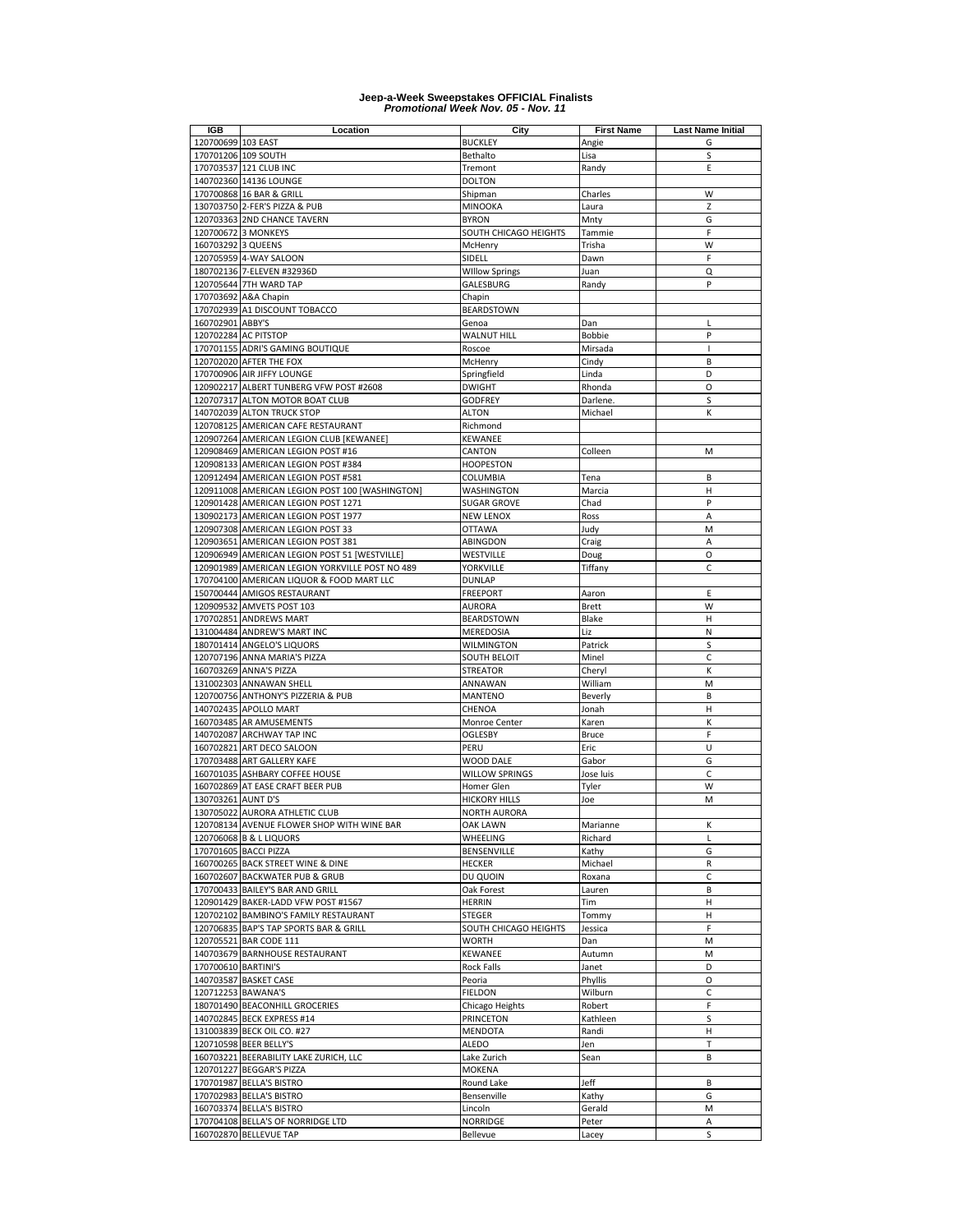| IGB                 | Location                                                    | City                               | <b>First Name</b> | <b>Last Name Initial</b> |
|---------------------|-------------------------------------------------------------|------------------------------------|-------------------|--------------------------|
| 120700699 103 EAST  |                                                             | <b>BUCKLEY</b>                     | Angie             | G                        |
|                     | 170701206 109 SOUTH                                         | Bethalto                           | Lisa              | S                        |
|                     | 170703537 121 CLUB INC                                      | Tremont                            | Randy             | Ε                        |
|                     | 140702360 14136 LOUNGE                                      | <b>DOLTON</b>                      |                   |                          |
|                     | 170700868 16 BAR & GRILL                                    | Shipman                            | Charles           | W                        |
|                     | 130703750 2-FER'S PIZZA & PUB                               | MINOOKA                            | Laura             | Z                        |
|                     | 120703363 2ND CHANCE TAVERN                                 | <b>BYRON</b>                       | Mnty              | G                        |
|                     | 120700672 3 MONKEYS                                         | SOUTH CHICAGO HEIGHTS              | Tammie            | F                        |
| 160703292 3 QUEENS  |                                                             | McHenry                            | Trisha            | W                        |
|                     | 120705959 4-WAY SALOON                                      | SIDELL                             | Dawn              | F                        |
|                     |                                                             |                                    |                   |                          |
|                     | 180702136 7-ELEVEN #32936D                                  | <b>Willow Springs</b><br>GALESBURG | Juan              | Q<br>P                   |
|                     | 120705644 7TH WARD TAP                                      |                                    | Randy             |                          |
|                     | 170703692 A&A Chapin                                        | Chapin                             |                   |                          |
|                     | 170702939 A1 DISCOUNT TOBACCO                               | <b>BEARDSTOWN</b>                  |                   |                          |
| 160702901 ABBY'S    |                                                             | Genoa                              | Dan               | L                        |
|                     | 120702284 AC PITSTOP                                        | WALNUT HILL                        | Bobbie            | P                        |
|                     | 170701155 ADRI'S GAMING BOUTIQUE                            | Roscoe                             | Mirsada           | I                        |
|                     | 120702020 AFTER THE FOX                                     | McHenry                            | Cindy             | B                        |
|                     | 170700906 AIR JIFFY LOUNGE                                  | Springfield                        | Linda             | D                        |
|                     | 120902217 ALBERT TUNBERG VFW POST #2608                     | <b>DWIGHT</b>                      | Rhonda            | O                        |
|                     | 120707317 ALTON MOTOR BOAT CLUB                             | <b>GODFREY</b>                     | Darlene.          | S                        |
|                     | 140702039 ALTON TRUCK STOP                                  | <b>ALTON</b>                       | Michael           | К                        |
|                     | 120708125 AMERICAN CAFE RESTAURANT                          | Richmond                           |                   |                          |
|                     | 120907264 AMERICAN LEGION CLUB [KEWANEE]                    | KEWANEE                            |                   |                          |
|                     | 120908469 AMERICAN LEGION POST #16                          | CANTON                             | Colleen           | M                        |
|                     | 120908133 AMERICAN LEGION POST #384                         | <b>HOOPESTON</b>                   |                   |                          |
|                     | 120912494 AMERICAN LEGION POST #581                         | COLUMBIA                           | Tena              | B                        |
|                     | 120911008 AMERICAN LEGION POST 100 [WASHINGTON]             | WASHINGTON                         | Marcia            | Н                        |
|                     | 120901428 AMERICAN LEGION POST 1271                         | <b>SUGAR GROVE</b>                 | Chad              | P                        |
|                     | 130902173 AMERICAN LEGION POST 1977                         | <b>NEW LENOX</b>                   | Ross              | A                        |
|                     | 120907308 AMERICAN LEGION POST 33                           | <b>OTTAWA</b>                      | Judy              | M                        |
|                     |                                                             |                                    |                   |                          |
|                     | 120903651 AMERICAN LEGION POST 381                          | ABINGDON                           | Craig             | Α                        |
|                     | 120906949 AMERICAN LEGION POST 51 [WESTVILLE]               | WESTVILLE                          | Doug              | O                        |
|                     | 120901989 AMERICAN LEGION YORKVILLE POST NO 489             | YORKVILLE                          | Tiffany           | $\mathsf{C}$             |
|                     | 170704100 AMERICAN LIQUOR & FOOD MART LLC                   | <b>DUNLAP</b>                      |                   |                          |
|                     | 150700444 AMIGOS RESTAURANT                                 | <b>FREEPORT</b>                    | Aaron             | Ε                        |
|                     | 120909532 AMVETS POST 103                                   | AURORA                             | <b>Brett</b>      | W                        |
|                     | 170702851 ANDREWS MART                                      | <b>BEARDSTOWN</b>                  | Blake             | H                        |
|                     | 131004484 ANDREW'S MART INC                                 | MEREDOSIA                          | Liz               | Ν                        |
|                     | 180701414 ANGELO'S LIQUORS                                  | WILMINGTON                         | Patrick           | S                        |
|                     | 120707196 ANNA MARIA'S PIZZA                                | SOUTH BELOIT                       | Minel             | C                        |
|                     | 160703269 ANNA'S PIZZA                                      | STREATOR                           | Cheryl            | К                        |
|                     | 131002303 ANNAWAN SHELL                                     | ANNAWAN                            | William           | M                        |
|                     | 120700756 ANTHONY'S PIZZERIA & PUB                          | MANTENO                            | Beverly           | B                        |
|                     | 140702435 APOLLO MART                                       | CHENOA                             | Jonah             | Н                        |
|                     | 160703485 AR AMUSEMENTS                                     | Monroe Center                      | Karen             | К                        |
|                     | 140702087 ARCHWAY TAP INC                                   | OGLESBY                            | <b>Bruce</b>      | F                        |
|                     | 160702821 ART DECO SALOON                                   | PERU                               | Eric              | U                        |
|                     | 170703488 ART GALLERY KAFE                                  | WOOD DALE                          | Gabor             | G                        |
|                     | 160701035 ASHBARY COFFEE HOUSE                              | <b>WILLOW SPRINGS</b>              | Jose luis         | C                        |
|                     | 160702869 AT EASE CRAFT BEER PUB                            | Homer Glen                         | Tyler             | W                        |
| 130703261 AUNT D'S  |                                                             | <b>HICKORY HILLS</b>               | Joe               | M                        |
|                     | 130705022 AURORA ATHLETIC CLUB                              | <b>NORTH AURORA</b>                |                   |                          |
|                     | 120708134 AVENUE FLOWER SHOP WITH WINE BAR                  | OAK LAWN                           | Marianne          | к                        |
|                     | 120706068 B & L LIQUORS                                     | WHEELING                           | Richard           | L                        |
|                     |                                                             | BENSENVILLE                        |                   |                          |
|                     | 170701605 BACCI PIZZA                                       |                                    | Kathy             | G                        |
|                     | 160700265 BACK STREET WINE & DINE                           | <b>HECKER</b>                      | Michael           | R                        |
|                     | 160702607 BACKWATER PUB & GRUB                              | DU QUOIN                           | Roxana            | C                        |
|                     | 170700433 BAILEY'S BAR AND GRILL                            | Oak Forest                         | Lauren            | B                        |
|                     | 120901429 BAKER-LADD VFW POST #1567                         | <b>HERRIN</b>                      | Tim               | н                        |
|                     | 120702102 BAMBINO'S FAMILY RESTAURANT                       | STEGER                             | Tommy             | н                        |
|                     | 120706835 BAP'S TAP SPORTS BAR & GRILL                      | SOUTH CHICAGO HEIGHTS              | Jessica           | F                        |
|                     | 120705521 BAR CODE 111                                      | WORTH                              | Dan               | M                        |
|                     | 140703679 BARNHOUSE RESTAURANT                              | KEWANEE                            | Autumn            | M                        |
| 170700610 BARTINI'S |                                                             | Rock Falls                         | Janet             | D                        |
|                     | 140703587 BASKET CASE                                       | Peoria                             | Phyllis           | O                        |
|                     | 120712253 BAWANA'S                                          | <b>FIELDON</b>                     | Wilburn           | C                        |
|                     | 180701490 BEACONHILL GROCERIES                              | Chicago Heights                    | Robert            | F                        |
|                     | 140702845 BECK EXPRESS #14                                  | PRINCETON                          | Kathleen          | S                        |
|                     | 131003839 BECK OIL CO. #27                                  | <b>MENDOTA</b>                     | Randi             | н                        |
|                     | 120710598 BEER BELLY'S                                      | ALEDO                              | Jen               | T                        |
|                     | 160703221 BEERABILITY LAKE ZURICH, LLC                      | Lake Zurich                        | Sean              | B                        |
|                     | 120701227 BEGGAR'S PIZZA                                    | <b>MOKENA</b>                      |                   |                          |
|                     | 170701987 BELLA'S BISTRO                                    | Round Lake                         | Jeff              | B                        |
|                     | 170702983 BELLA'S BISTRO                                    | Bensenville                        | Kathy             | G                        |
|                     | 160703374 BELLA'S BISTRO                                    | Lincoln                            | Gerald            | M                        |
|                     |                                                             |                                    |                   |                          |
|                     | 170704108 BELLA'S OF NORRIDGE LTD<br>160702870 BELLEVUE TAP | <b>NORRIDGE</b>                    | Peter             | Α<br>S                   |
|                     |                                                             | Bellevue                           | Lacey             |                          |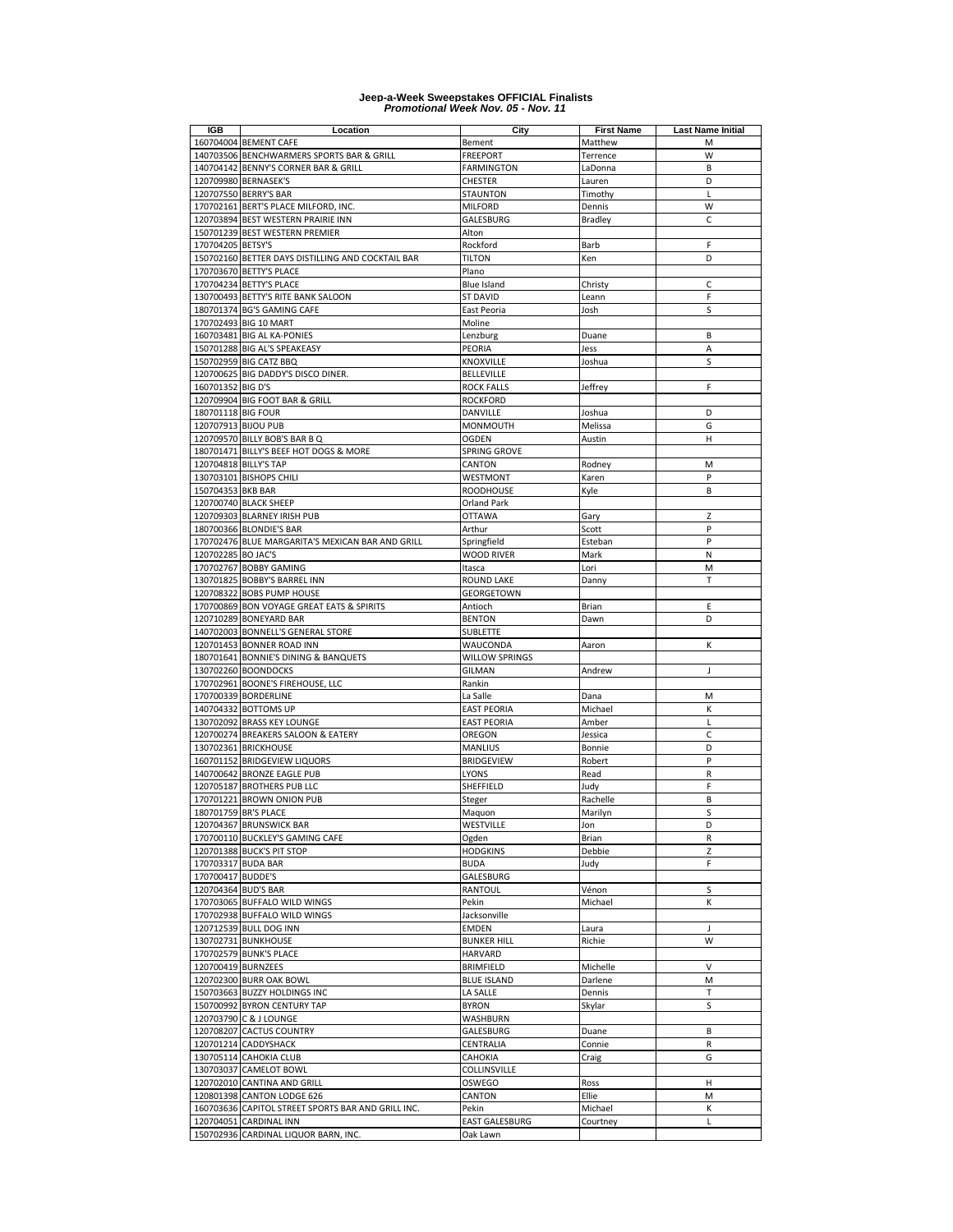| IGB                   | Location                                           | City                  | <b>First Name</b> | <b>Last Name Initial</b> |
|-----------------------|----------------------------------------------------|-----------------------|-------------------|--------------------------|
|                       | 160704004 BEMENT CAFE                              | Bement                | Matthew           | М                        |
|                       | 140703506 BENCHWARMERS SPORTS BAR & GRILL          | <b>FREEPORT</b>       | Terrence          | W                        |
|                       | 140704142 BENNY'S CORNER BAR & GRILL               | <b>FARMINGTON</b>     | LaDonna           | B                        |
|                       | 120709980 BERNASEK'S                               | CHESTER               | Lauren            | D                        |
|                       | 120707550 BERRY'S BAR                              | <b>STAUNTON</b>       | Timothy           | L                        |
|                       |                                                    | <b>MILFORD</b>        |                   | W                        |
|                       | 170702161 BERT'S PLACE MILFORD, INC.               |                       | Dennis            |                          |
|                       | 120703894 BEST WESTERN PRAIRIE INN                 | GALESBURG             | Bradley           | $\mathsf C$              |
|                       | 150701239 BEST WESTERN PREMIER                     | Alton                 |                   |                          |
| 170704205 BETSY'S     |                                                    | Rockford              | Barb              | F                        |
|                       | 150702160 BETTER DAYS DISTILLING AND COCKTAIL BAR  | <b>TILTON</b>         | Ken               | D                        |
|                       | 170703670 BETTY'S PLACE                            | Plano                 |                   |                          |
|                       | 170704234 BETTY'S PLACE                            | Blue Island           | Christy           | C                        |
|                       | 130700493 BETTY'S RITE BANK SALOON                 | <b>ST DAVID</b>       | Leann             | F                        |
|                       | 180701374 BG'S GAMING CAFE                         | East Peoria           | Josh              | S                        |
|                       | 170702493 BIG 10 MART                              | Moline                |                   |                          |
|                       | 160703481 BIG AL KA-PONIES                         | Lenzburg              | Duane             | B                        |
|                       | 150701288 BIG AL'S SPEAKEASY                       | PEORIA                | Jess              | A                        |
|                       | 150702959 BIG CATZ BBQ                             | KNOXVILLE             |                   | S                        |
|                       |                                                    |                       | Joshua            |                          |
|                       | 120700625 BIG DADDY'S DISCO DINER.                 | <b>BELLEVILLE</b>     |                   |                          |
| 160701352 BIG D'S     |                                                    | <b>ROCK FALLS</b>     | Jeffrey           | F                        |
|                       | 120709904 BIG FOOT BAR & GRILL                     | <b>ROCKFORD</b>       |                   |                          |
| 180701118 BIG FOUR    |                                                    | DANVILLE              | Joshua            | D                        |
| 120707913 BIJOU PUB   |                                                    | MONMOUTH              | Melissa           | G                        |
|                       | 120709570 BILLY BOB'S BAR B Q                      | OGDEN                 | Austin            | н                        |
|                       | 180701471 BILLY'S BEEF HOT DOGS & MORE             | SPRING GROVE          |                   |                          |
| 120704818 BILLY'S TAP |                                                    | CANTON                | Rodney            | M                        |
|                       | 130703101 BISHOPS CHILI                            | WESTMONT              | Karen             | P                        |
| 150704353 BKB BAR     |                                                    | <b>ROODHOUSE</b>      | Kyle              | B                        |
|                       | 120700740 BLACK SHEEP                              | <b>Orland Park</b>    |                   |                          |
|                       | 120709303 BLARNEY IRISH PUB                        | <b>OTTAWA</b>         | Gary              | Z                        |
|                       | 180700366 BLONDIE'S BAR                            | Arthur                | Scott             | P                        |
|                       |                                                    |                       |                   |                          |
|                       | 170702476 BLUE MARGARITA'S MEXICAN BAR AND GRILL   | Springfield           | Esteban           | P                        |
| 120702285 BO JAC'S    |                                                    | <b>WOOD RIVER</b>     | Mark              | N                        |
|                       | 170702767 BOBBY GAMING                             | Itasca                | Lori              | M                        |
|                       | 130701825 BOBBY'S BARREL INN                       | ROUND LAKE            | Danny             | T                        |
|                       | 120708322 BOBS PUMP HOUSE                          | GEORGETOWN            |                   |                          |
|                       | 170700869 BON VOYAGE GREAT EATS & SPIRITS          | Antioch               | Brian             | Ε                        |
|                       | 120710289 BONEYARD BAR                             | <b>BENTON</b>         | Dawn              | D                        |
|                       | 140702003 BONNELL'S GENERAL STORE                  | SUBLETTE              |                   |                          |
|                       | 120701453 BONNER ROAD INN                          | WAUCONDA              | Aaron             | к                        |
|                       | 180701641 BONNIE'S DINING & BANQUETS               | WILLOW SPRINGS        |                   |                          |
|                       | 130702260 BOONDOCKS                                | GILMAN                | Andrew            | J                        |
|                       | 170702961 BOONE'S FIREHOUSE, LLC                   | Rankin                |                   |                          |
|                       |                                                    |                       |                   |                          |
|                       | 170700339 BORDERLINE                               | La Salle              | Dana              | M                        |
|                       | 140704332 BOTTOMS UP                               | <b>EAST PEORIA</b>    | Michael           | К                        |
|                       | 130702092 BRASS KEY LOUNGE                         | <b>EAST PEORIA</b>    | Amber             | L                        |
|                       | 120700274 BREAKERS SALOON & EATERY                 | OREGON                | Jessica           | C                        |
|                       | 130702361 BRICKHOUSE                               | <b>MANLIUS</b>        | Bonnie            | D                        |
|                       | 160701152 BRIDGEVIEW LIQUORS                       | <b>BRIDGEVIEW</b>     | Robert            | P                        |
|                       | 140700642 BRONZE EAGLE PUB                         | LYONS                 | Read              | R                        |
|                       | 120705187 BROTHERS PUB LLC                         | SHEFFIELD             | Judy              | F                        |
|                       | 170701221 BROWN ONION PUB                          | Steger                | Rachelle          | B                        |
|                       | 180701759 BR'S PLACE                               | Maquon                | Marilyn           | S                        |
|                       | 120704367 BRUNSWICK BAR                            | WESTVILLE             | Jon               | D                        |
|                       | 170700110 BUCKLEY'S GAMING CAFE                    | Ogden                 | Brian             | R                        |
|                       | 120701388 BUCK'S PIT STOP                          | <b>HODGKINS</b>       | Debbie            | Z                        |
|                       |                                                    |                       |                   |                          |
| 170703317 BUDA BAR    |                                                    | <b>BUDA</b>           | Judy              | F                        |
| 170700417 BUDDE'S     |                                                    | GALESBURG             |                   |                          |
| 120704364 BUD'S BAR   |                                                    | RANTOUL               | Vénon             | S                        |
|                       | 170703065 BUFFALO WILD WINGS                       | Pekin                 | Michael           | К                        |
|                       | 170702938 BUFFALO WILD WINGS                       | Jacksonville          |                   |                          |
|                       | 120712539 BULL DOG INN                             | <b>EMDEN</b>          | Laura             | J                        |
|                       | 130702731 BUNKHOUSE                                | <b>BUNKER HILL</b>    | Richie            | W                        |
|                       | 170702579 BUNK'S PLACE                             | HARVARD               |                   |                          |
| 120700419 BURNZEES    |                                                    | <b>BRIMFIELD</b>      | Michelle          | V                        |
|                       | 120702300 BURR OAK BOWL                            | <b>BLUE ISLAND</b>    | Darlene           | M                        |
|                       | 150703663 BUZZY HOLDINGS INC                       | LA SALLE              | Dennis            | т                        |
|                       | 150700992 BYRON CENTURY TAP                        | <b>BYRON</b>          | Skylar            | S                        |
|                       |                                                    |                       |                   |                          |
|                       | 120703790 C & J LOUNGE                             | WASHBURN              |                   |                          |
|                       | 120708207 CACTUS COUNTRY                           | GALESBURG             | Duane             | В                        |
|                       | 120701214 CADDYSHACK                               | CENTRALIA             | Connie            | R                        |
|                       | 130705114 CAHOKIA CLUB                             | CAHOKIA               | Craig             | G                        |
|                       | 130703037 CAMELOT BOWL                             | COLLINSVILLE          |                   |                          |
|                       | 120702010 CANTINA AND GRILL                        | OSWEGO                | Ross              | н                        |
|                       | 120801398 CANTON LODGE 626                         | CANTON                | Ellie             | M                        |
|                       | 160703636 CAPITOL STREET SPORTS BAR AND GRILL INC. | Pekin                 | Michael           | К                        |
|                       | 120704051 CARDINAL INN                             | <b>EAST GALESBURG</b> | Courtney          | L                        |
|                       | 150702936 CARDINAL LIQUOR BARN, INC.               | Oak Lawn              |                   |                          |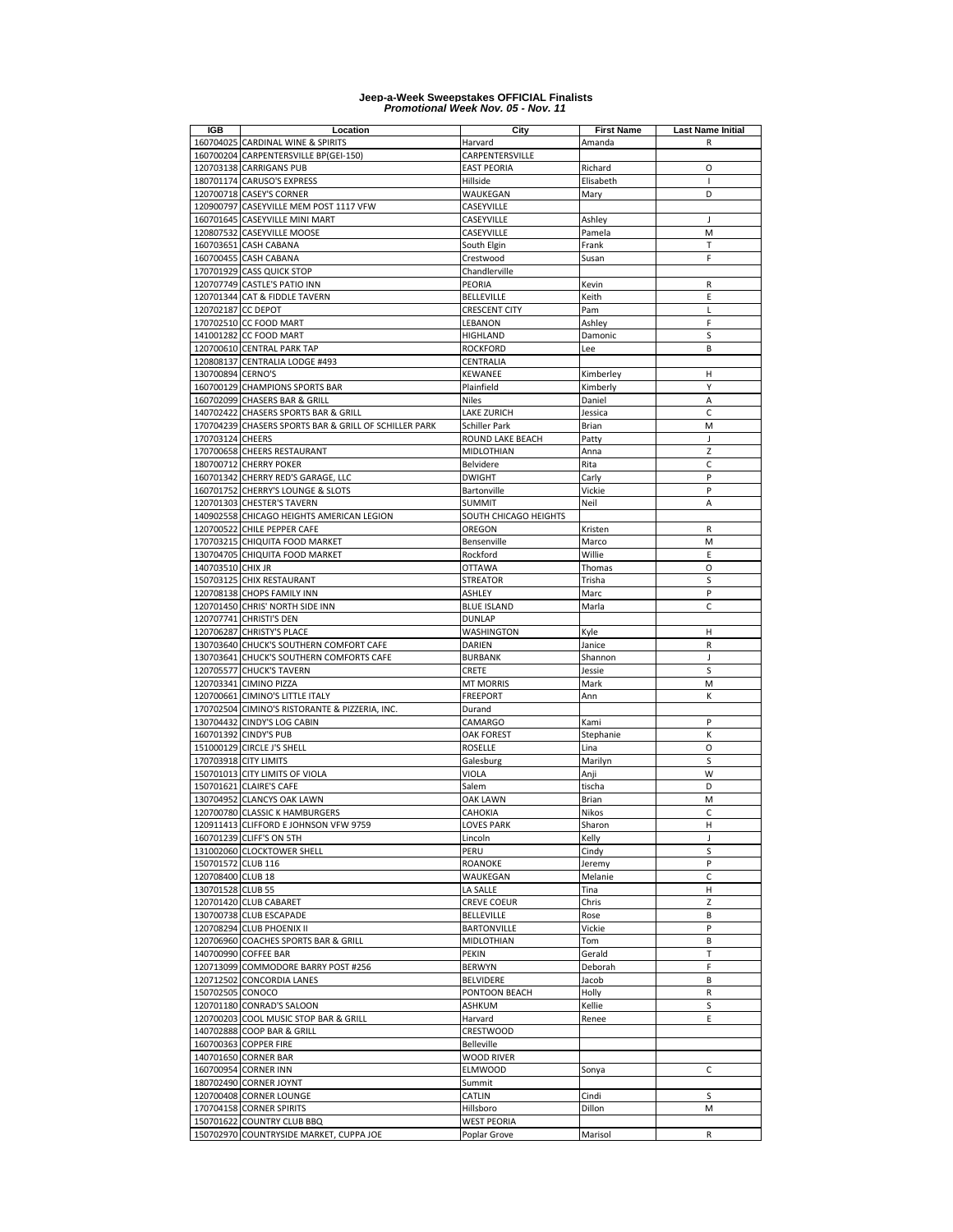| <b>IGB</b>         | Location                                              | City                  | <b>First Name</b> | <b>Last Name Initial</b> |
|--------------------|-------------------------------------------------------|-----------------------|-------------------|--------------------------|
|                    | 160704025 CARDINAL WINE & SPIRITS                     | Harvard               | Amanda            | R                        |
|                    | 160700204 CARPENTERSVILLE BP(GEI-150)                 | CARPENTERSVILLE       |                   |                          |
|                    | 120703138 CARRIGANS PUB                               | <b>EAST PEORIA</b>    | Richard           | O                        |
|                    | 180701174 CARUSO'S EXPRESS                            | Hillside              | Elisabeth         | $\blacksquare$           |
|                    | 120700718 CASEY'S CORNER                              | WAUKEGAN              | Mary              | D                        |
| 120900797          | CASEYVILLE MEM POST 1117 VFW                          | CASEYVILLE            |                   |                          |
|                    | 160701645 CASEYVILLE MINI MART                        | CASEYVILLE            | Ashley            | J                        |
|                    |                                                       |                       | Pamela            |                          |
|                    | 120807532 CASEYVILLE MOOSE                            | CASEYVILLE            |                   | M                        |
|                    | 160703651 CASH CABANA                                 | South Elgin           | Frank             | T                        |
|                    | 160700455 CASH CABANA                                 | Crestwood             | Susan             | F                        |
|                    | 170701929 CASS QUICK STOP                             | Chandlerville         |                   |                          |
|                    | 120707749 CASTLE'S PATIO INN                          | PEORIA                | Kevin             | R                        |
|                    | 120701344 CAT & FIDDLE TAVERN                         | <b>BELLEVILLE</b>     | Keith             | E                        |
| 120702187 CC DEPOT |                                                       | <b>CRESCENT CITY</b>  | Pam               | L                        |
|                    | 170702510 CC FOOD MART                                | LEBANON               | Ashley            | F                        |
|                    | 141001282 CC FOOD MART                                | HIGHLAND              | Damonic           | S                        |
|                    | 120700610 CENTRAL PARK TAP                            | <b>ROCKFORD</b>       | Lee               | B                        |
|                    | 120808137 CENTRALIA LODGE #493                        | CENTRALIA             |                   |                          |
|                    |                                                       |                       |                   | н                        |
| 130700894 CERNO'S  |                                                       | KEWANEE               | Kimberley         |                          |
|                    | 160700129 CHAMPIONS SPORTS BAR                        | Plainfield            | Kimberly          | Υ                        |
|                    | 160702099 CHASERS BAR & GRILL                         | <b>Niles</b>          | Daniel            | A                        |
| 140702422          | <b>CHASERS SPORTS BAR &amp; GRILL</b>                 | <b>LAKE ZURICH</b>    | Jessica           | C                        |
|                    | 170704239 CHASERS SPORTS BAR & GRILL OF SCHILLER PARK | <b>Schiller Park</b>  | Brian             | M                        |
| 170703124          | <b>CHEERS</b>                                         | ROUND LAKE BEACH      | Patty             | J                        |
|                    | 170700658 CHEERS RESTAURANT                           | <b>MIDLOTHIAN</b>     | Anna              | Z                        |
|                    | 180700712 CHERRY POKER                                | Belvidere             | Rita              | $\mathsf{C}$             |
|                    | 160701342 CHERRY RED'S GARAGE, LLC                    | <b>DWIGHT</b>         | Carly             | P                        |
|                    | 160701752 CHERRY'S LOUNGE & SLOTS                     | Bartonville           | Vickie            | P                        |
|                    | 120701303 CHESTER'S TAVERN                            | <b>SUMMIT</b>         | Neil              | A                        |
|                    |                                                       | SOUTH CHICAGO HEIGHTS |                   |                          |
|                    | 140902558 CHICAGO HEIGHTS AMERICAN LEGION             |                       |                   |                          |
|                    | 120700522 CHILE PEPPER CAFE                           | OREGON                | Kristen           | R                        |
|                    | 170703215 CHIQUITA FOOD MARKET                        | Bensenville           | Marco             | M                        |
|                    | 130704705 CHIQUITA FOOD MARKET                        | Rockford              | Willie            | E                        |
| 140703510 CHIX JR  |                                                       | <b>OTTAWA</b>         | Thomas            | O                        |
|                    | 150703125 CHIX RESTAURANT                             | <b>STREATOR</b>       | Trisha            | S                        |
|                    | 120708138 CHOPS FAMILY INN                            | ASHLEY                | Marc              | P                        |
|                    | 120701450 CHRIS' NORTH SIDE INN                       | <b>BLUE ISLAND</b>    | Marla             | C                        |
|                    | 120707741 CHRISTI'S DEN                               | <b>DUNLAP</b>         |                   |                          |
| 120706287          | <b>CHRISTY'S PLACE</b>                                | WASHINGTON            | Kyle              | н                        |
|                    |                                                       |                       |                   |                          |
|                    | 130703640 CHUCK'S SOUTHERN COMFORT CAFE               | DARIEN                | Janice            | R                        |
|                    | 130703641 CHUCK'S SOUTHERN COMFORTS CAFE              | <b>BURBANK</b>        | Shannon           | J                        |
| 120705577          | <b>CHUCK'S TAVERN</b>                                 | CRETE                 | Jessie            | S                        |
|                    | 120703341 CIMINO PIZZA                                | <b>MT MORRIS</b>      | Mark              | M                        |
|                    | 120700661 CIMINO'S LITTLE ITALY                       | <b>FREEPORT</b>       | Ann               | К                        |
| 170702504          | CIMINO'S RISTORANTE & PIZZERIA, INC.                  | Durand                |                   |                          |
|                    | 130704432 CINDY'S LOG CABIN                           | CAMARGO               | Kami              | P                        |
| 160701392          | <b>CINDY'S PUB</b>                                    | <b>OAK FOREST</b>     | Stephanie         | K                        |
|                    | 151000129 CIRCLE J'S SHELL                            | <b>ROSELLE</b>        | Lina              | O                        |
|                    | 170703918 CITY LIMITS                                 | Galesburg             | Marilyn           | S                        |
|                    | 150701013 CITY LIMITS OF VIOLA                        | VIOLA                 | Anji              | W                        |
|                    | 150701621 CLAIRE'S CAFE                               | Salem                 | tischa            | D                        |
|                    | 130704952 CLANCYS OAK LAWN                            | <b>OAK LAWN</b>       | Brian             | M                        |
|                    |                                                       |                       | Nikos             | C                        |
|                    | 120700780 CLASSIC K HAMBURGERS                        | CAHOKIA               |                   |                          |
|                    | 120911413 CLIFFORD E JOHNSON VFW 9759                 | LOVES PARK            | Sharon            | н                        |
|                    | 160701239 CLIFF'S ON 5TH                              | Lincoln               | Kelly             | J                        |
|                    | 131002060 CLOCKTOWER SHELL                            | PERU                  | Cindy             | S                        |
| 150701572 CLUB 116 |                                                       | <b>ROANOKE</b>        | Jeremy            | P                        |
| 120708400 CLUB 18  |                                                       | WAUKEGAN              | Melanie           | C                        |
| 130701528 CLUB 55  |                                                       | LA SALLE              | Tina              | н                        |
|                    | 120701420 CLUB CABARET                                | <b>CREVE COEUR</b>    | Chris             | Z                        |
|                    | 130700738 CLUB ESCAPADE                               | <b>BELLEVILLE</b>     | Rose              | B                        |
|                    | 120708294 CLUB PHOENIX II                             | <b>BARTONVILLE</b>    | Vickie            | P                        |
|                    | 120706960 COACHES SPORTS BAR & GRILL                  | MIDLOTHIAN            | Tom               | B                        |
|                    | 140700990 COFFEE BAR                                  | PEKIN                 | Gerald            | т                        |
|                    |                                                       |                       |                   | F                        |
|                    | 120713099 COMMODORE BARRY POST #256                   | <b>BERWYN</b>         | Deborah           |                          |
|                    | 120712502 CONCORDIA LANES                             | BELVIDERE             | Jacob             | B                        |
| 150702505 CONOCO   |                                                       | PONTOON BEACH         | Holly             | R                        |
|                    | 120701180 CONRAD'S SALOON                             | ASHKUM                | Kellie            | S                        |
|                    | 120700203 COOL MUSIC STOP BAR & GRILL                 | Harvard               | Renee             | E                        |
|                    | 140702888 COOP BAR & GRILL                            | <b>CRESTWOOD</b>      |                   |                          |
|                    | 160700363 COPPER FIRE                                 | Belleville            |                   |                          |
|                    | 140701650 CORNER BAR                                  | <b>WOOD RIVER</b>     |                   |                          |
|                    | 160700954 CORNER INN                                  | <b>ELMWOOD</b>        | Sonya             | C                        |
|                    | 180702490 CORNER JOYNT                                | Summit                |                   |                          |
|                    | 120700408 CORNER LOUNGE                               | CATLIN                | Cindi             | S                        |
|                    | 170704158 CORNER SPIRITS                              | Hillsboro             | Dillon            | м                        |
|                    |                                                       |                       |                   |                          |
|                    | 150701622 COUNTRY CLUB BBQ                            | <b>WEST PEORIA</b>    |                   |                          |
|                    | 150702970 COUNTRYSIDE MARKET, CUPPA JOE               | Poplar Grove          | Marisol           | $\mathsf{R}$             |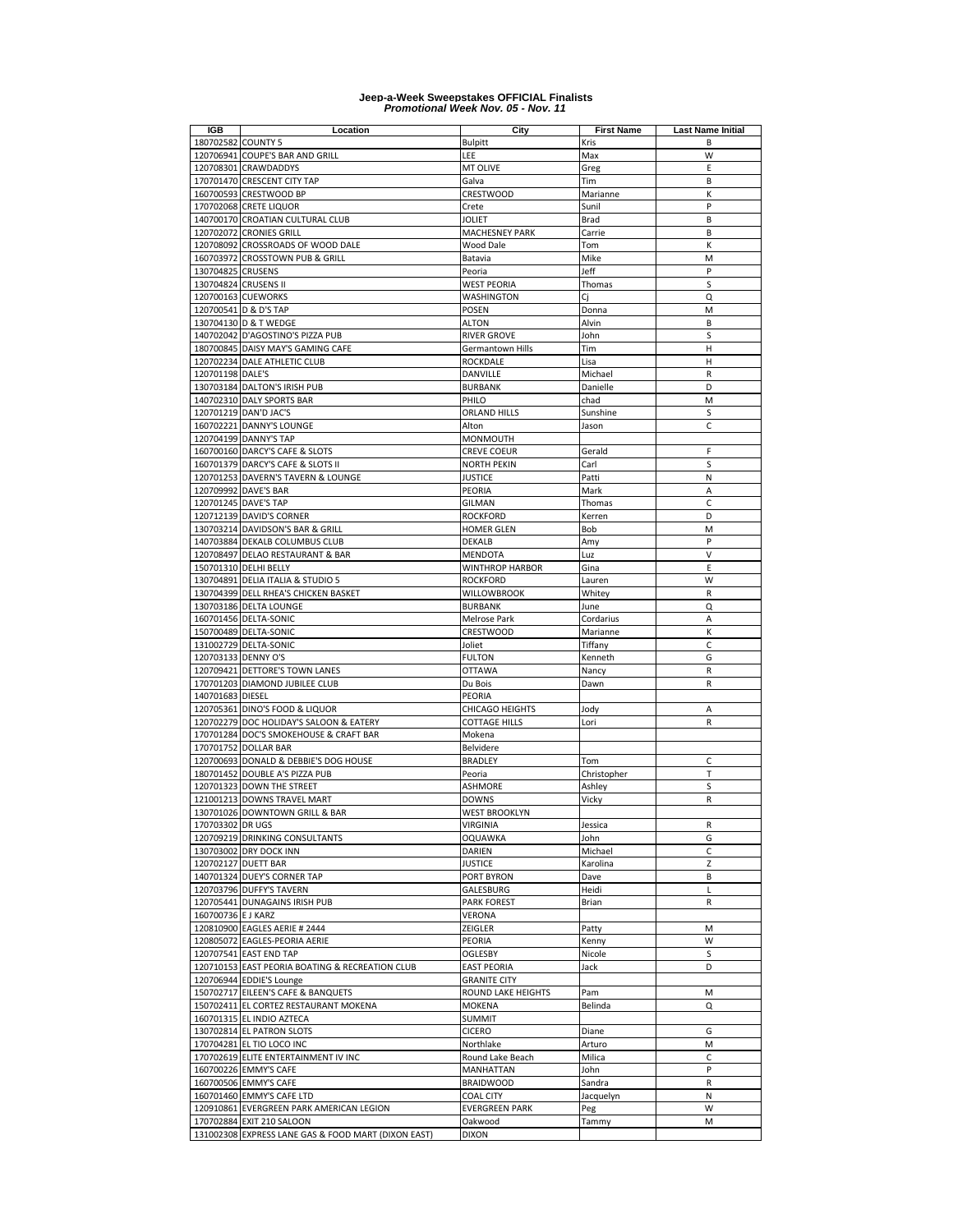| IGB                 | Location                                            | City                  | <b>First Name</b> | <b>Last Name Initial</b> |
|---------------------|-----------------------------------------------------|-----------------------|-------------------|--------------------------|
| 180702582 COUNTY 5  |                                                     | <b>Bulpitt</b>        | Kris              | B                        |
|                     | 120706941 COUPE'S BAR AND GRILL                     | LEE                   | Max               | W                        |
|                     | 120708301 CRAWDADDYS                                | MT OLIVE              | Greg              | Ε                        |
|                     | 170701470 CRESCENT CITY TAP                         | Galva                 | Tim               | B                        |
|                     | 160700593 CRESTWOOD BP                              | <b>CRESTWOOD</b>      | Marianne          | K                        |
|                     | 170702068 CRETE LIQUOR                              | Crete                 | Sunil             | P                        |
|                     | 140700170 CROATIAN CULTURAL CLUB                    | JOLIET                | Brad              | B                        |
|                     | 120702072 CRONIES GRILL                             | <b>MACHESNEY PARK</b> | Carrie            | B                        |
|                     | 120708092 CROSSROADS OF WOOD DALE                   | Wood Dale             | Tom               | К                        |
|                     | 160703972 CROSSTOWN PUB & GRILL                     | Batavia               | Mike              | M                        |
| 130704825 CRUSENS   |                                                     | Peoria                | Jeff              | P                        |
|                     | 130704824 CRUSENS II                                | WEST PEORIA           | Thomas            | S                        |
|                     | 120700163 CUEWORKS                                  | WASHINGTON            | Ci                | Q                        |
|                     | 120700541 D & D'S TAP                               | POSEN                 | Donna             | M                        |
|                     | 130704130 D & T WEDGE                               | <b>ALTON</b>          | Alvin             | B                        |
|                     |                                                     |                       |                   | S                        |
|                     | 140702042 D'AGOSTINO'S PIZZA PUB                    | <b>RIVER GROVE</b>    | John              | H                        |
|                     | 180700845 DAISY MAY'S GAMING CAFE                   | Germantown Hills      | Tim               |                          |
|                     | 120702234 DALE ATHLETIC CLUB                        | ROCKDALE              | Lisa              | н                        |
| 120701198 DALE'S    |                                                     | DANVILLE              | Michael           | R                        |
|                     | 130703184 DALTON'S IRISH PUB                        | <b>BURBANK</b>        | Danielle          | D                        |
|                     | 140702310 DALY SPORTS BAR                           | PHILO                 | chad              | M                        |
|                     | 120701219 DAN'D JAC'S                               | <b>ORLAND HILLS</b>   | Sunshine          | S                        |
|                     | 160702221 DANNY'S LOUNGE                            | Alton                 | Jason             | C                        |
|                     | 120704199 DANNY'S TAP                               | <b>MONMOUTH</b>       |                   |                          |
|                     | 160700160 DARCY'S CAFE & SLOTS                      | <b>CREVE COEUR</b>    | Gerald            | F                        |
|                     | 160701379 DARCY'S CAFE & SLOTS II                   | <b>NORTH PEKIN</b>    | Carl              | S                        |
|                     | 120701253 DAVERN'S TAVERN & LOUNGE                  | JUSTICE               | Patti             | N                        |
|                     | 120709992 DAVE'S BAR                                | PEORIA                | Mark              | A                        |
|                     | 120701245 DAVE'S TAP                                | <b>GILMAN</b>         | Thomas            | C                        |
|                     | 120712139 DAVID'S CORNER                            | <b>ROCKFORD</b>       | Kerren            | D                        |
|                     | 130703214 DAVIDSON'S BAR & GRILL                    | <b>HOMER GLEN</b>     | Bob               | M                        |
|                     | 140703884 DEKALB COLUMBUS CLUB                      | DEKALB                | Amy               | P                        |
|                     | 120708497 DELAO RESTAURANT & BAR                    | MENDOTA               | Luz               | $\vee$                   |
|                     | 150701310 DELHI BELLY                               | WINTHROP HARBOR       | Gina              | E                        |
|                     | 130704891 DELIA ITALIA & STUDIO 5                   | <b>ROCKFORD</b>       | Lauren            | W                        |
|                     | 130704399 DELL RHEA'S CHICKEN BASKET                | WILLOWBROOK           | Whitey            | R                        |
|                     | 130703186 DELTA LOUNGE                              | <b>BURBANK</b>        | June              | Q                        |
|                     | 160701456 DELTA-SONIC                               | Melrose Park          | Cordarius         | A                        |
|                     | 150700489 DELTA-SONIC                               | <b>CRESTWOOD</b>      | Marianne          | К                        |
|                     | 131002729 DELTA-SONIC                               | Joliet                | Tiffany           | C                        |
| 120703133 DENNY O'S |                                                     | <b>FULTON</b>         | Kenneth           | G                        |
|                     | 120709421 DETTORE'S TOWN LANES                      | <b>OTTAWA</b>         | Nancy             | R                        |
|                     | 170701203 DIAMOND JUBILEE CLUB                      | Du Bois               | Dawn              | R                        |
|                     |                                                     |                       |                   |                          |
| 140701683 DIESEL    |                                                     | PEORIA                |                   |                          |
|                     | 120705361 DINO'S FOOD & LIQUOR                      | CHICAGO HEIGHTS       | Jody              | A                        |
|                     | 120702279 DOC HOLIDAY'S SALOON & EATERY             | <b>COTTAGE HILLS</b>  | Lori              | $\mathsf R$              |
|                     | 170701284 DOC'S SMOKEHOUSE & CRAFT BAR              | Mokena                |                   |                          |
|                     | 170701752 DOLLAR BAR                                | Belvidere             |                   |                          |
|                     | 120700693 DONALD & DEBBIE'S DOG HOUSE               | <b>BRADLEY</b>        | Tom               | $\mathsf{C}$             |
|                     | 180701452 DOUBLE A'S PIZZA PUB                      | Peoria                | Christopher       | T                        |
|                     | 120701323 DOWN THE STREET                           | <b>ASHMORE</b>        | Ashley            | S                        |
|                     | 121001213 DOWNS TRAVEL MART                         | <b>DOWNS</b>          | Vicky             | R                        |
|                     | 130701026 DOWNTOWN GRILL & BAR                      | <b>WEST BROOKLYN</b>  |                   |                          |
| 170703302 DR UGS    |                                                     | <b>VIRGINIA</b>       | Jessica           | R                        |
|                     | 120709219 DRINKING CONSULTANTS                      | <b>OQUAWKA</b>        | John              | G                        |
|                     | 130703002 DRY DOCK INN                              | DARIEN                | Michael           | С                        |
|                     | 120702127 DUETT BAR                                 | JUSTICE               | Karolina          | Z                        |
|                     | 140701324 DUEY'S CORNER TAP                         | PORT BYRON            | Dave              | B                        |
|                     | 120703796 DUFFY'S TAVERN                            | GALESBURG             | Heidi             | $\mathsf{L}$             |
|                     | 120705441 DUNAGAINS IRISH PUB                       | <b>PARK FOREST</b>    | Brian             | R                        |
| 160700736 EJ KARZ   |                                                     | VERONA                |                   |                          |
|                     | 120810900 EAGLES AERIE # 2444                       | ZEIGLER               | Patty             | M                        |
|                     | 120805072 EAGLES-PEORIA AERIE                       | PEORIA                | Kenny             | W                        |
|                     | 120707541 EAST END TAP                              | OGLESBY               | Nicole            | S                        |
|                     | 120710153 EAST PEORIA BOATING & RECREATION CLUB     | <b>EAST PEORIA</b>    | Jack              | D                        |
|                     | 120706944 EDDIE'S Lounge                            | <b>GRANITE CITY</b>   |                   |                          |
|                     | 150702717 EILEEN'S CAFE & BANQUETS                  | ROUND LAKE HEIGHTS    | Pam               | M                        |
|                     | 150702411 EL CORTEZ RESTAURANT MOKENA               | <b>MOKENA</b>         | Belinda           | Q                        |
|                     | 160701315 EL INDIO AZTECA                           | <b>SUMMIT</b>         |                   |                          |
|                     | 130702814 EL PATRON SLOTS                           | <b>CICERO</b>         | Diane             | G                        |
|                     | 170704281 EL TIO LOCO INC                           | Northlake             | Arturo            | M                        |
|                     | 170702619 ELITE ENTERTAINMENT IV INC                | Round Lake Beach      | Milica            | C                        |
|                     | 160700226 EMMY'S CAFE                               | MANHATTAN             | John              | P                        |
|                     | 160700506 EMMY'S CAFE                               | <b>BRAIDWOOD</b>      | Sandra            | R                        |
|                     | 160701460 EMMY'S CAFE LTD                           | <b>COAL CITY</b>      | Jacquelyn         | Ν                        |
|                     |                                                     |                       |                   | W                        |
|                     | 120910861 EVERGREEN PARK AMERICAN LEGION            | <b>EVERGREEN PARK</b> | Peg               |                          |
|                     | 170702884 EXIT 210 SALOON                           | Oakwood               | Tammy             | M                        |
|                     | 131002308 EXPRESS LANE GAS & FOOD MART (DIXON EAST) | <b>DIXON</b>          |                   |                          |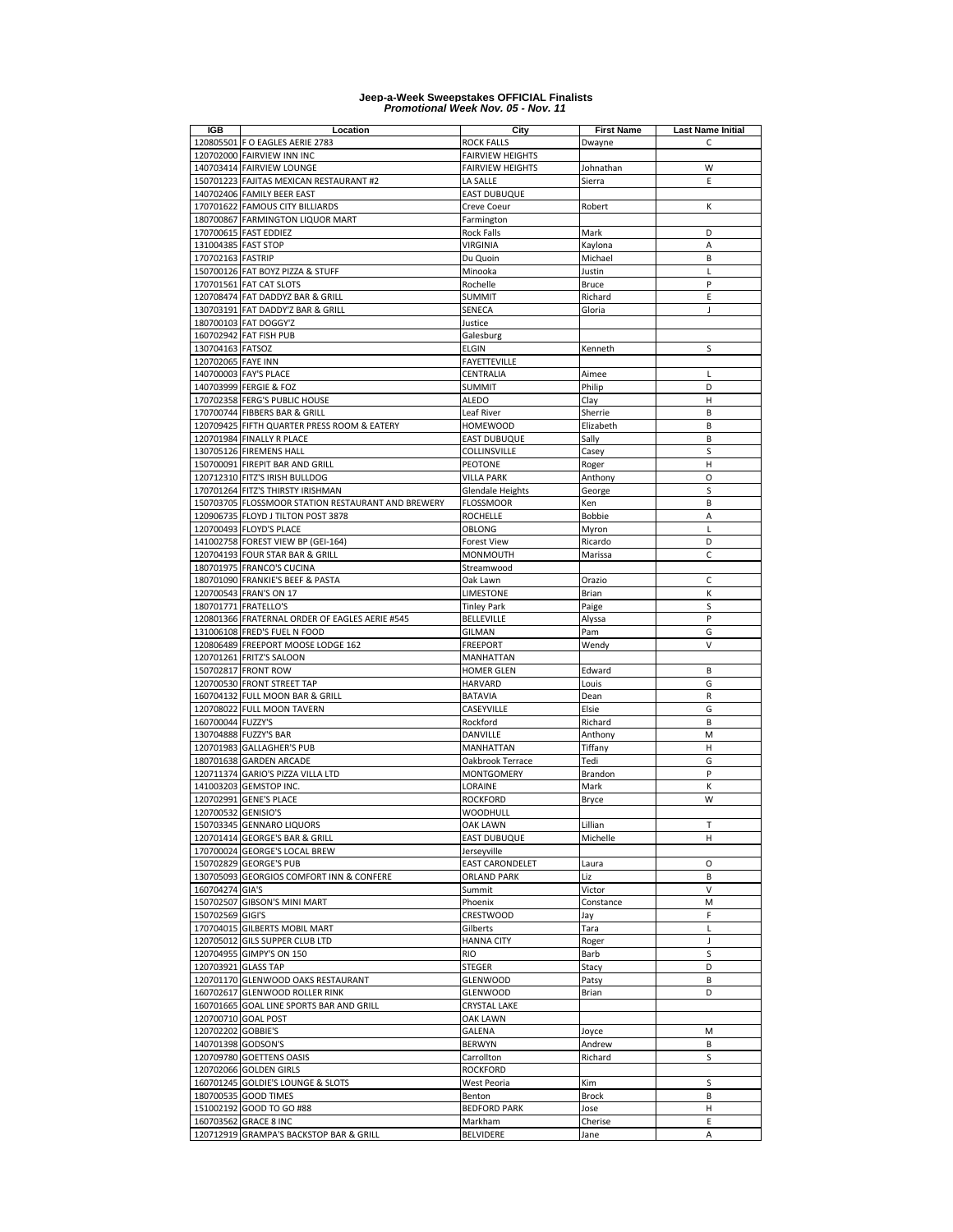| IGB                 | Location                                           | City                    | <b>First Name</b>      | <b>Last Name Initial</b> |
|---------------------|----------------------------------------------------|-------------------------|------------------------|--------------------------|
|                     | 120805501 F O EAGLES AERIE 2783                    | <b>ROCK FALLS</b>       | Dwayne                 | C                        |
|                     | 120702000 FAIRVIEW INN INC                         | <b>FAIRVIEW HEIGHTS</b> |                        |                          |
|                     | 140703414 FAIRVIEW LOUNGE                          | <b>FAIRVIEW HEIGHTS</b> | Johnathan              | W                        |
|                     | 150701223 FAJITAS MEXICAN RESTAURANT #2            | LA SALLE                | Sierra                 | E                        |
|                     | 140702406 FAMILY BEER EAST                         | <b>EAST DUBUQUE</b>     |                        |                          |
|                     | 170701622 FAMOUS CITY BILLIARDS                    | Creve Coeur             | Robert                 | К                        |
|                     | 180700867 FARMINGTON LIQUOR MART                   | Farmington              |                        |                          |
|                     | 170700615 FAST EDDIEZ                              | <b>Rock Falls</b>       | Mark                   | D                        |
| 131004385 FAST STOP |                                                    | VIRGINIA                | Kaylona                | A                        |
|                     |                                                    |                         | Michael                | B                        |
| 170702163 FASTRIP   |                                                    | Du Quoin                |                        |                          |
|                     | 150700126 FAT BOYZ PIZZA & STUFF                   | Minooka                 | Justin<br><b>Bruce</b> | L<br>P                   |
|                     | 170701561 FAT CAT SLOTS                            | Rochelle                |                        |                          |
|                     | 120708474 FAT DADDYZ BAR & GRILL                   | <b>SUMMIT</b>           | Richard                | E                        |
|                     | 130703191 FAT DADDY'Z BAR & GRILL                  | SENECA                  | Gloria                 | J                        |
|                     | 180700103 FAT DOGGY'Z                              | Justice                 |                        |                          |
|                     | 160702942 FAT FISH PUB                             | Galesburg               |                        |                          |
| 130704163 FATSOZ    |                                                    | ELGIN                   | Kenneth                | S                        |
| 120702065 FAYE INN  |                                                    | FAYETTEVILLE            |                        |                          |
|                     | 140700003 FAY'S PLACE                              | CENTRALIA               | Aimee                  | L                        |
|                     | 140703999 FERGIE & FOZ                             | <b>SUMMIT</b>           | Philip                 | D                        |
|                     | 170702358 FERG'S PUBLIC HOUSE                      | <b>ALEDO</b>            | Clay                   | Н                        |
|                     | 170700744 FIBBERS BAR & GRILL                      | Leaf River              | Sherrie                | B                        |
|                     | 120709425 FIFTH QUARTER PRESS ROOM & EATERY        | <b>HOMEWOOD</b>         | Elizabeth              | B                        |
|                     | 120701984 FINALLY R PLACE                          | <b>EAST DUBUQUE</b>     | Sally                  | B                        |
|                     | 130705126 FIREMENS HALL                            | COLLINSVILLE            | Casey                  | S                        |
|                     | 150700091 FIREPIT BAR AND GRILL                    | <b>PEOTONE</b>          | Roger                  | Н                        |
|                     |                                                    | <b>VILLA PARK</b>       |                        |                          |
|                     | 120712310 FITZ'S IRISH BULLDOG                     |                         | Anthony                | O                        |
|                     | 170701264 FITZ'S THIRSTY IRISHMAN                  | Glendale Heights        | George                 | S                        |
|                     | 150703705 FLOSSMOOR STATION RESTAURANT AND BREWERY | <b>FLOSSMOOR</b>        | Ken                    | B                        |
|                     | 120906735 FLOYD J TILTON POST 3878                 | <b>ROCHELLE</b>         | Bobbie                 | A                        |
|                     | 120700493 FLOYD'S PLACE                            | OBLONG                  | Myron                  | L                        |
|                     | 141002758 FOREST VIEW BP (GEI-164)                 | <b>Forest View</b>      | Ricardo                | D                        |
|                     | 120704193 FOUR STAR BAR & GRILL                    | MONMOUTH                | Marissa                | $\mathsf{C}$             |
|                     | 180701975 FRANCO'S CUCINA                          | Streamwood              |                        |                          |
|                     | 180701090 FRANKIE'S BEEF & PASTA                   | Oak Lawn                | Orazio                 | C                        |
|                     | 120700543 FRAN'S ON 17                             | LIMESTONE               | Brian                  | К                        |
|                     | 180701771 FRATELLO'S                               | <b>Tinley Park</b>      | Paige                  | S                        |
|                     | 120801366 FRATERNAL ORDER OF EAGLES AERIE #545     | BELLEVILLE              | Alyssa                 | P                        |
|                     | 131006108 FRED'S FUEL N FOOD                       | GILMAN                  | Pam                    | G                        |
|                     | 120806489 FREEPORT MOOSE LODGE 162                 | <b>FREEPORT</b>         | Wendy                  | V                        |
|                     |                                                    | MANHATTAN               |                        |                          |
|                     | 120701261 FRITZ'S SALOON                           |                         |                        |                          |
|                     | 150702817 FRONT ROW                                | HOMER GLEN              | Edward                 | B                        |
|                     | 120700530 FRONT STREET TAP                         | <b>HARVARD</b>          | Louis                  | G                        |
|                     | 160704132 FULL MOON BAR & GRILL                    | BATAVIA                 | Dean                   | R                        |
| 120708022           | <b>FULL MOON TAVERN</b>                            | CASEYVILLE              | Elsie                  | G                        |
| 160700044 FUZZY'S   |                                                    | Rockford                | Richard                | B                        |
|                     | 130704888 FUZZY'S BAR                              | DANVILLE                | Anthony                | M                        |
|                     | 120701983 GALLAGHER'S PUB                          | MANHATTAN               | Tiffany                | H                        |
|                     | 180701638 GARDEN ARCADE                            | Oakbrook Terrace        | Tedi                   | G                        |
|                     | 120711374 GARIO'S PIZZA VILLA LTD                  | <b>MONTGOMERY</b>       | Brandon                | P                        |
|                     | 141003203 GEMSTOP INC.                             | LORAINE                 | Mark                   | К                        |
|                     | 120702991 GENE'S PLACE                             | <b>ROCKFORD</b>         | Bryce                  | W                        |
| 120700532 GENISIO'S |                                                    | WOODHULL                |                        |                          |
|                     | 150703345 GENNARO LIQUORS                          | <b>OAK LAWN</b>         | Lillian                | т                        |
|                     | 120701414 GEORGE'S BAR & GRILL                     | <b>EAST DUBUQUE</b>     | Michelle               | н                        |
|                     | 170700024 GEORGE'S LOCAL BREW                      | Jerseyville             |                        |                          |
|                     | 150702829 GEORGE'S PUB                             | <b>EAST CARONDELET</b>  |                        |                          |
|                     |                                                    |                         | Laura                  | O                        |
|                     | 130705093 GEORGIOS COMFORT INN & CONFERE           | <b>ORLAND PARK</b>      | Liz                    | B                        |
| 160704274 GIA'S     |                                                    | Summit                  | Victor                 | $\vee$                   |
|                     | 150702507 GIBSON'S MINI MART                       | Phoenix                 | Constance              | M                        |
| 150702569 GIGI'S    |                                                    | CRESTWOOD               | Jay                    | F                        |
|                     | 170704015 GILBERTS MOBIL MART                      | Gilberts                | Tara                   | L                        |
|                     | 120705012 GILS SUPPER CLUB LTD                     | <b>HANNA CITY</b>       | Roger                  | J                        |
|                     | 120704955 GIMPY'S ON 150                           | RIO                     | Barb                   | S                        |
| 120703921 GLASS TAP |                                                    | STEGER                  | Stacy                  | D                        |
|                     | 120701170 GLENWOOD OAKS RESTAURANT                 | <b>GLENWOOD</b>         | Patsy                  | В                        |
|                     | 160702617 GLENWOOD ROLLER RINK                     | <b>GLENWOOD</b>         | Brian                  | D                        |
|                     | 160701665 GOAL LINE SPORTS BAR AND GRILL           | CRYSTAL LAKE            |                        |                          |
|                     | 120700710 GOAL POST                                | <b>OAK LAWN</b>         |                        |                          |
| 120702202 GOBBIE'S  |                                                    | GALENA                  |                        | M                        |
|                     |                                                    |                         | Joyce                  |                          |
| 140701398 GODSON'S  |                                                    | <b>BERWYN</b>           | Andrew                 | B                        |
|                     | 120709780 GOETTENS OASIS                           | Carrollton              | Richard                | S                        |
|                     | 120702066 GOLDEN GIRLS                             | ROCKFORD                |                        |                          |
|                     | 160701245 GOLDIE'S LOUNGE & SLOTS                  | West Peoria             | Kim                    | S                        |
|                     | 180700535 GOOD TIMES                               | Benton                  | Brock                  | B                        |
|                     | 151002192 GOOD TO GO #88                           | <b>BEDFORD PARK</b>     | Jose                   | н                        |
|                     | 160703562 GRACE 8 INC                              | Markham                 | Cherise                | Ε                        |
|                     | 120712919 GRAMPA'S BACKSTOP BAR & GRILL            | <b>BELVIDERE</b>        | Jane                   | A                        |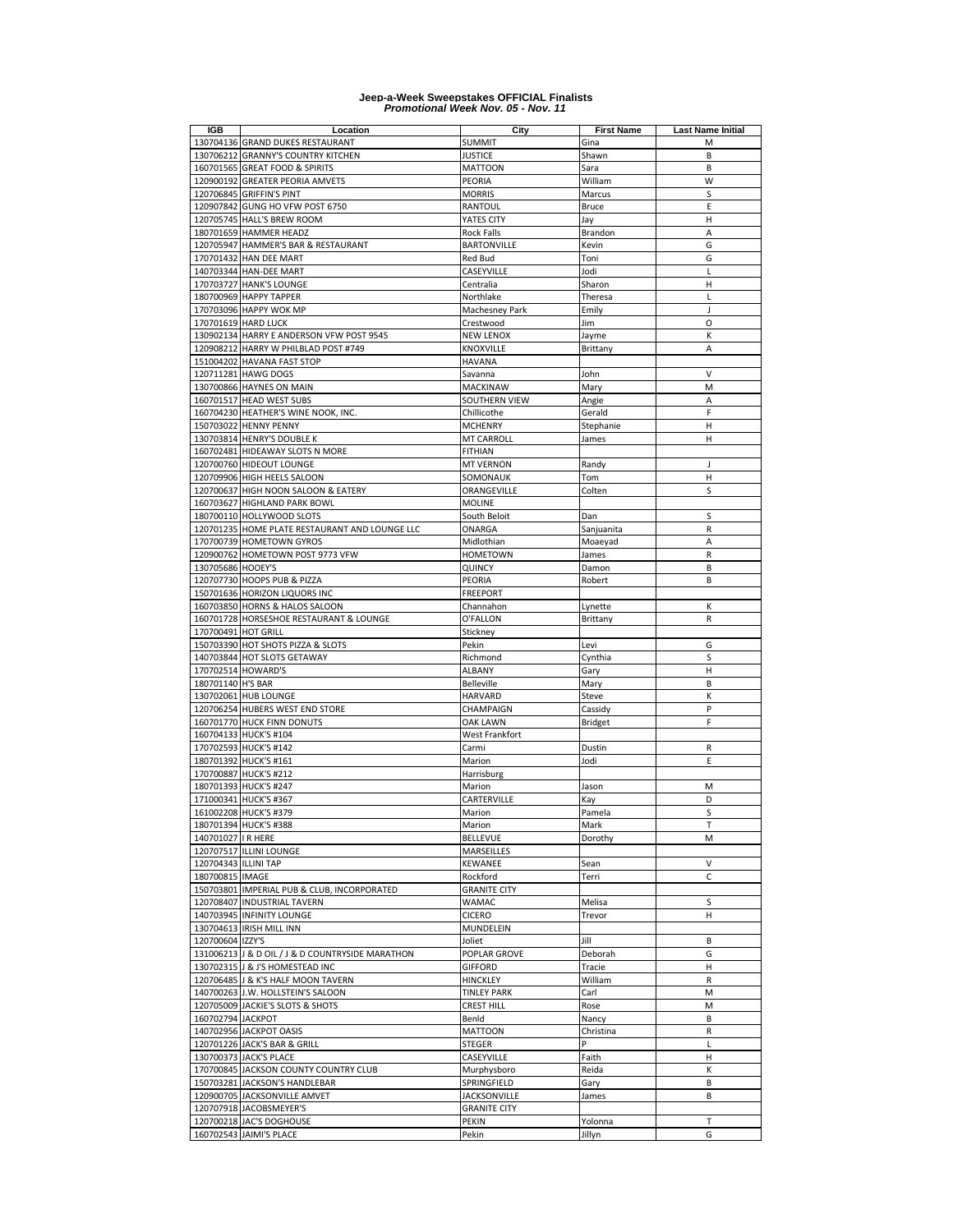| IGB                  | Location                                         | City                      | <b>First Name</b> | <b>Last Name Initial</b> |
|----------------------|--------------------------------------------------|---------------------------|-------------------|--------------------------|
|                      | 130704136 GRAND DUKES RESTAURANT                 | <b>SUMMIT</b>             | Gina              | M                        |
|                      | 130706212 GRANNY'S COUNTRY KITCHEN               | <b>JUSTICE</b>            | Shawn             | B                        |
| 160701565            | <b>GREAT FOOD &amp; SPIRITS</b>                  | <b>MATTOON</b>            | Sara              | B                        |
|                      | 120900192 GREATER PEORIA AMVETS                  | PEORIA                    | William           | W                        |
|                      | 120706845 GRIFFIN'S PINT                         | <b>MORRIS</b>             | Marcus            | S                        |
|                      | 120907842 GUNG HO VFW POST 6750                  | RANTOUL                   | <b>Bruce</b>      | Ε                        |
|                      | 120705745 HALL'S BREW ROOM                       | YATES CITY                | Jay               | Н                        |
|                      | 180701659 HAMMER HEADZ                           | Rock Falls                | Brandon           | A                        |
|                      | 120705947 HAMMER'S BAR & RESTAURANT              | <b>BARTONVILLE</b>        | Kevin             | G                        |
|                      | 170701432 HAN DEE MART                           | <b>Red Bud</b>            | Toni              | G                        |
|                      | 140703344 HAN-DEE MART                           | CASEYVILLE                | Jodi              | L                        |
|                      | 170703727 HANK'S LOUNGE                          | Centralia                 | Sharon            | $\overline{H}$           |
|                      | 180700969 HAPPY TAPPER                           | Northlake                 | Theresa           | L                        |
|                      | 170703096 HAPPY WOK MP                           | Machesney Park            | Emily             | J                        |
|                      | 170701619 HARD LUCK                              | Crestwood                 | Jim               | O                        |
|                      | 130902134 HARRY E ANDERSON VFW POST 9545         | <b>NEW LENOX</b>          | Jayme             | К                        |
|                      | 120908212 HARRY W PHILBLAD POST #749             | KNOXVILLE                 | Brittany          | A                        |
|                      | 151004202 HAVANA FAST STOP                       | HAVANA                    |                   |                          |
|                      | 120711281 HAWG DOGS                              | Savanna                   | John              | $\vee$                   |
|                      | 130700866 HAYNES ON MAIN                         | MACKINAW                  | Mary              | M                        |
|                      | 160701517 HEAD WEST SUBS                         | SOUTHERN VIEW             | Angie             | A                        |
|                      | 160704230 HEATHER'S WINE NOOK, INC.              | Chillicothe               | Gerald            | F                        |
|                      | 150703022 HENNY PENNY                            | <b>MCHENRY</b>            | Stephanie         | н                        |
|                      | 130703814 HENRY'S DOUBLE K                       | <b>MT CARROLL</b>         | James             | Н                        |
|                      | 160702481 HIDEAWAY SLOTS N MORE                  | FITHIAN                   |                   |                          |
|                      | 120700760 HIDEOUT LOUNGE                         | <b>MT VERNON</b>          | Randy             | J                        |
|                      | 120709906 HIGH HEELS SALOON                      | SOMONAUK                  | Tom               | н                        |
|                      | 120700637 HIGH NOON SALOON & EATERY              | ORANGEVILLE               | Colten            | S                        |
|                      | 160703627 HIGHLAND PARK BOWL                     | <b>MOLINE</b>             |                   |                          |
|                      | 180700110 HOLLYWOOD SLOTS                        | South Beloit              | Dan               | S                        |
|                      | 120701235 HOME PLATE RESTAURANT AND LOUNGE LLC   | ONARGA                    | Sanjuanita        | R                        |
|                      | 170700739 HOMETOWN GYROS                         | Midlothian                | Moaeyad           | A                        |
|                      | 120900762 HOMETOWN POST 9773 VFW                 | <b>HOMETOWN</b>           | James             | $\mathsf R$              |
| 130705686 HOOEY'S    |                                                  | QUINCY                    | Damon             | B                        |
|                      | 120707730 HOOPS PUB & PIZZA                      | PEORIA                    | Robert            | B                        |
|                      | 150701636 HORIZON LIQUORS INC                    | <b>FREEPORT</b>           |                   |                          |
|                      | 160703850 HORNS & HALOS SALOON                   | Channahon                 | Lynette           | К                        |
|                      | 160701728 HORSESHOE RESTAURANT & LOUNGE          | O'FALLON                  | Brittany          | R                        |
| 170700491 HOT GRILL  |                                                  | Stickney                  |                   |                          |
|                      | 150703390 HOT SHOTS PIZZA & SLOTS                | Pekin                     | Levi              | G                        |
|                      | 140703844 HOT SLOTS GETAWAY                      | Richmond                  | Cynthia           | S                        |
| 170702514 HOWARD'S   |                                                  | ALBANY                    | Gary              | $\overline{H}$           |
| 180701140 H'S BAR    |                                                  | <b>Belleville</b>         | Mary              | B                        |
|                      | 130702061 HUB LOUNGE                             | HARVARD                   | Steve             | Κ                        |
|                      | 120706254 HUBERS WEST END STORE                  | CHAMPAIGN                 | Cassidy           | P                        |
|                      | 160701770 HUCK FINN DONUTS                       | OAK LAWN                  | <b>Bridget</b>    | F                        |
|                      | 160704133 HUCK'S #104                            | West Frankfort            |                   |                          |
|                      | 170702593 HUCK'S #142                            | Carmi                     | Dustin            | R                        |
|                      | 180701392 HUCK'S #161                            | Marion                    | Jodi              | E                        |
|                      | 170700887 HUCK'S #212                            | Harrisburg                |                   |                          |
|                      | 180701393 HUCK'S #247<br>171000341 HUCK'S #367   | Marion<br>CARTERVILLE     | Jason             | M<br>D                   |
|                      | 161002208 HUCK'S #379                            | Marion                    | Kay<br>Pamela     | S                        |
|                      | 180701394 HUCK'S #388                            |                           | Mark              |                          |
| 140701027   R HERE   |                                                  | Marion<br><b>BELLEVUE</b> | Dorothy           | M                        |
|                      | 120707517 ILLINI LOUNGE                          | MARSEILLES                |                   |                          |
| 120704343 ILLINI TAP |                                                  | KEWANEE                   | Sean              | $\vee$                   |
| 180700815 IMAGE      |                                                  | Rockford                  | Terri             | $\mathsf C$              |
|                      | 150703801 IMPERIAL PUB & CLUB, INCORPORATED      | <b>GRANITE CITY</b>       |                   |                          |
|                      | 120708407 INDUSTRIAL TAVERN                      | WAMAC                     | Melisa            | S                        |
|                      | 140703945 INFINITY LOUNGE                        | <b>CICERO</b>             | Trevor            | н                        |
|                      | 130704613 IRISH MILL INN                         | <b>MUNDELEIN</b>          |                   |                          |
| 120700604 IZZY'S     |                                                  | Joliet                    | Jill              | B                        |
|                      | 131006213 J & D OIL / J & D COUNTRYSIDE MARATHON | POPLAR GROVE              | Deborah           | G                        |
|                      | 130702315 J & J'S HOMESTEAD INC                  | <b>GIFFORD</b>            | Tracie            | н                        |
|                      | 120706485 J & K'S HALF MOON TAVERN               | <b>HINCKLEY</b>           | William           | R                        |
|                      | 140700263 J.W. HOLLSTEIN'S SALOON                | <b>TINLEY PARK</b>        | Carl              | M                        |
|                      | 120705009 JACKIE'S SLOTS & SHOTS                 | CREST HILL                | Rose              | M                        |
| 160702794 JACKPOT    |                                                  | Benld                     | Nancy             | B                        |
|                      | 140702956 JACKPOT OASIS                          | <b>MATTOON</b>            | Christina         | R                        |
|                      | 120701226 JACK'S BAR & GRILL                     | STEGER                    | P                 | L                        |
|                      | 130700373 JACK'S PLACE                           | CASEYVILLE                | Faith             | н                        |
|                      | 170700845 JACKSON COUNTY COUNTRY CLUB            | Murphysboro               | Reida             | К                        |
|                      | 150703281 JACKSON'S HANDLEBAR                    | SPRINGFIELD               | Gary              | B                        |
|                      | 120900705 JACKSONVILLE AMVET                     | <b>JACKSONVILLE</b>       | James             | B                        |
|                      | 120707918 JACOBSMEYER'S                          | <b>GRANITE CITY</b>       |                   |                          |
|                      | 120700218 JAC'S DOGHOUSE                         | PEKIN                     | Yolonna           | т                        |
|                      | 160702543 JAIMI'S PLACE                          | Pekin                     | Jillyn            | G                        |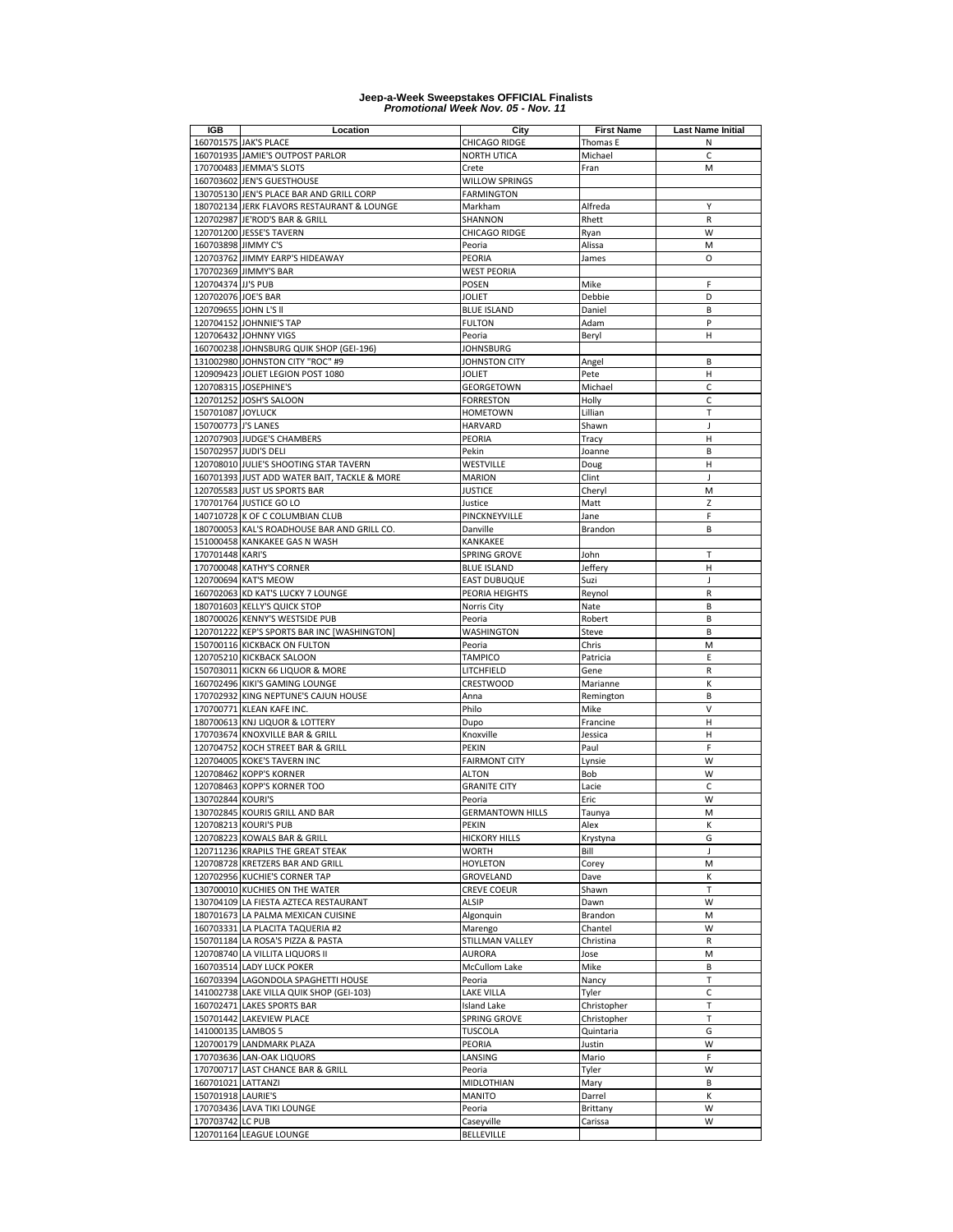| IGB                   | Location                                     | City                    | <b>First Name</b> | Last Name Initial |
|-----------------------|----------------------------------------------|-------------------------|-------------------|-------------------|
|                       | 160701575 JAK'S PLACE                        | CHICAGO RIDGE           | Thomas E          | Ν                 |
|                       | 160701935 JAMIE'S OUTPOST PARLOR             | NORTH UTICA             | Michael           | C                 |
|                       | 170700483 JEMMA'S SLOTS                      | Crete                   | Fran              | М                 |
|                       | 160703602 JEN'S GUESTHOUSE                   | WILLOW SPRINGS          |                   |                   |
|                       | 130705130 JEN'S PLACE BAR AND GRILL CORP     | FARMINGTON              |                   |                   |
|                       | 180702134 JERK FLAVORS RESTAURANT & LOUNGE   | Markham                 | Alfreda           | Υ                 |
|                       | 120702987 JE'ROD'S BAR & GRILL               | SHANNON                 | Rhett             | R                 |
|                       | 120701200 JESSE'S TAVERN                     |                         |                   | W                 |
|                       |                                              | CHICAGO RIDGE           | Ryan              |                   |
| 160703898 JIMMY C'S   |                                              | Peoria                  | Alissa            | M                 |
|                       | 120703762 JIMMY EARP'S HIDEAWAY              | PEORIA                  | James             | $\circ$           |
|                       | 170702369 JIMMY'S BAR                        | <b>WEST PEORIA</b>      |                   |                   |
| 120704374 JJ'S PUB    |                                              | <b>POSEN</b>            | Mike              | F                 |
| 120702076 JOE'S BAR   |                                              | <b>JOLIET</b>           | Debbie            | D                 |
| 120709655 JOHN L'S II |                                              | <b>BLUE ISLAND</b>      | Daniel            | B                 |
|                       | 120704152 JOHNNIE'S TAP                      | <b>FULTON</b>           | Adam              | P                 |
|                       | 120706432 JOHNNY VIGS                        | Peoria                  | Beryl             | Н                 |
|                       | 160700238 JOHNSBURG QUIK SHOP (GEI-196)      | <b>JOHNSBURG</b>        |                   |                   |
|                       | 131002980 JOHNSTON CITY "ROC" #9             | JOHNSTON CITY           | Angel             | B                 |
|                       | 120909423 JOLIET LEGION POST 1080            | <b>JOLIET</b>           | Pete              | Н                 |
|                       | 120708315 JOSEPHINE'S                        | GEORGETOWN              | Michael           | $\mathsf C$       |
|                       | 120701252 JOSH'S SALOON                      | <b>FORRESTON</b>        | Holly             | C                 |
| 150701087 JOYLUCK     |                                              | <b>HOMETOWN</b>         | Lillian           | Т                 |
| 150700773 J'S LANES   |                                              | HARVARD                 | Shawn             | J                 |
|                       | 120707903 JUDGE'S CHAMBERS                   | PEORIA                  | Tracy             | н                 |
|                       |                                              |                         |                   | B                 |
| 150702957 JUDI'S DELI |                                              | Pekin                   | Joanne            |                   |
|                       | 120708010 JULIE'S SHOOTING STAR TAVERN       | WESTVILLE               | Doug              | н                 |
|                       | 160701393 JUST ADD WATER BAIT, TACKLE & MORE | <b>MARION</b>           | Clint             | J                 |
|                       | 120705583 JUST US SPORTS BAR                 | <b>JUSTICE</b>          | Cheryl            | M                 |
|                       | 170701764 JUSTICE GO LO                      | Justice                 | Matt              | Z                 |
|                       | 140710728 K OF C COLUMBIAN CLUB              | PINCKNEYVILLE           | Jane              | F                 |
|                       | 180700053 KAL'S ROADHOUSE BAR AND GRILL CO.  | Danville                | Brandon           | B                 |
|                       | 151000458 KANKAKEE GAS N WASH                | KANKAKEE                |                   |                   |
| 170701448 KARI'S      |                                              | SPRING GROVE            | John              | $\mathsf{T}$      |
|                       | 170700048 KATHY'S CORNER                     | <b>BLUE ISLAND</b>      | Jeffery           | Н                 |
|                       | 120700694 KAT'S MEOW                         | <b>EAST DUBUQUE</b>     | Suzi              | J                 |
|                       | 160702063 KD KAT'S LUCKY 7 LOUNGE            | PEORIA HEIGHTS          | Reynol            | R                 |
|                       | 180701603 KELLY'S QUICK STOP                 | Norris City             | Nate              | B                 |
|                       | 180700026 KENNY'S WESTSIDE PUB               | Peoria                  | Robert            | B                 |
|                       | 120701222 KEP'S SPORTS BAR INC [WASHINGTON]  |                         |                   | B                 |
|                       |                                              | WASHINGTON              | Steve             | M                 |
|                       | 150700116 KICKBACK ON FULTON                 | Peoria                  | Chris             |                   |
|                       | 120705210 KICKBACK SALOON                    | <b>TAMPICO</b>          | Patricia          | E                 |
|                       | 150703011 KICKN 66 LIQUOR & MORE             | LITCHFIELD              | Gene              | R                 |
|                       | 160702496 KIKI'S GAMING LOUNGE               | CRESTWOOD               | Marianne          | К                 |
|                       | 170702932 KING NEPTUNE'S CAJUN HOUSE         | Anna                    | Remington         | B                 |
| 170700771             | KLEAN KAFE INC.                              | Philo                   | Mike              | V                 |
|                       | 180700613 KNJ LIQUOR & LOTTERY               | Dupo                    | Francine          | Н                 |
|                       | 170703674 KNOXVILLE BAR & GRILL              | Knoxville               | Jessica           | н                 |
|                       | 120704752 KOCH STREET BAR & GRILL            | PEKIN                   | Paul              | F                 |
| 120704005             | <b>KOKE'S TAVERN INC</b>                     | <b>FAIRMONT CITY</b>    | Lynsie            | W                 |
| 120708462             | <b>KOPP'S KORNER</b>                         | <b>ALTON</b>            | Bob               | W                 |
| 120708463             | <b>KOPP'S KORNER TOO</b>                     | <b>GRANITE CITY</b>     | Lacie             | C                 |
| 130702844 KOURI'S     |                                              | Peoria                  | Eric              | W                 |
|                       | 130702845 KOURIS GRILL AND BAR               | <b>GERMANTOWN HILLS</b> | Taunya            | М                 |
|                       | 120708213 KOURI'S PUB                        | PEKIN                   | Alex              | Κ                 |
|                       | 120708223 KOWALS BAR & GRILL                 | <b>HICKORY HILLS</b>    | Krystyna          | G                 |
|                       | 120711236 KRAPILS THE GREAT STEAK            | <b>WORTH</b>            | Bill              | J                 |
|                       |                                              | <b>HOYLETON</b>         |                   |                   |
|                       | 120708728 KRETZERS BAR AND GRILL             |                         | Corey             | M                 |
|                       | 120702956 KUCHIE'S CORNER TAP                | GROVELAND               | Dave              | К                 |
|                       | 130700010 KUCHIES ON THE WATER               | <b>CREVE COEUR</b>      | Shawn             | $\mathsf{T}$      |
|                       | 130704109 LA FIESTA AZTECA RESTAURANT        | <b>ALSIP</b>            | Dawn              | W                 |
|                       | 180701673 LA PALMA MEXICAN CUISINE           | Algonquin               | Brandon           | M                 |
|                       | 160703331 LA PLACITA TAQUERIA #2             | Marengo                 | Chantel           | W                 |
|                       | 150701184 LA ROSA'S PIZZA & PASTA            | STILLMAN VALLEY         | Christina         | $\mathsf R$       |
|                       | 120708740 LA VILLITA LIQUORS II              | <b>AURORA</b>           | Jose              | M                 |
|                       | 160703514 LADY LUCK POKER                    | McCullom Lake           | Mike              | B                 |
|                       | 160703394 LAGONDOLA SPAGHETTI HOUSE          | Peoria                  | Nancy             | $\mathsf T$       |
|                       | 141002738 LAKE VILLA QUIK SHOP (GEI-103)     | <b>LAKE VILLA</b>       | Tyler             | C                 |
|                       | 160702471 LAKES SPORTS BAR                   | <b>Island Lake</b>      | Christopher       | T                 |
|                       | 150701442 LAKEVIEW PLACE                     | SPRING GROVE            | Christopher       | Т                 |
| 141000135 LAMBOS 5    |                                              | <b>TUSCOLA</b>          | Quintaria         | G                 |
|                       | 120700179 LANDMARK PLAZA                     | PEORIA                  | Justin            | W                 |
|                       |                                              |                         |                   |                   |
|                       | 170703636 LAN-OAK LIQUORS                    | LANSING                 | Mario             | F                 |
|                       | 170700717 LAST CHANCE BAR & GRILL            | Peoria                  | Tyler             | W                 |
| 160701021 LATTANZI    |                                              | MIDLOTHIAN              | Mary              | B                 |
| 150701918 LAURIE'S    |                                              | MANITO                  | Darrel            | K                 |
|                       | 170703436 LAVA TIKI LOUNGE                   | Peoria                  | Brittany          | W                 |
| 170703742 LC PUB      |                                              | Caseyville              | Carissa           | W                 |
|                       | 120701164 LEAGUE LOUNGE                      | <b>BELLEVILLE</b>       |                   |                   |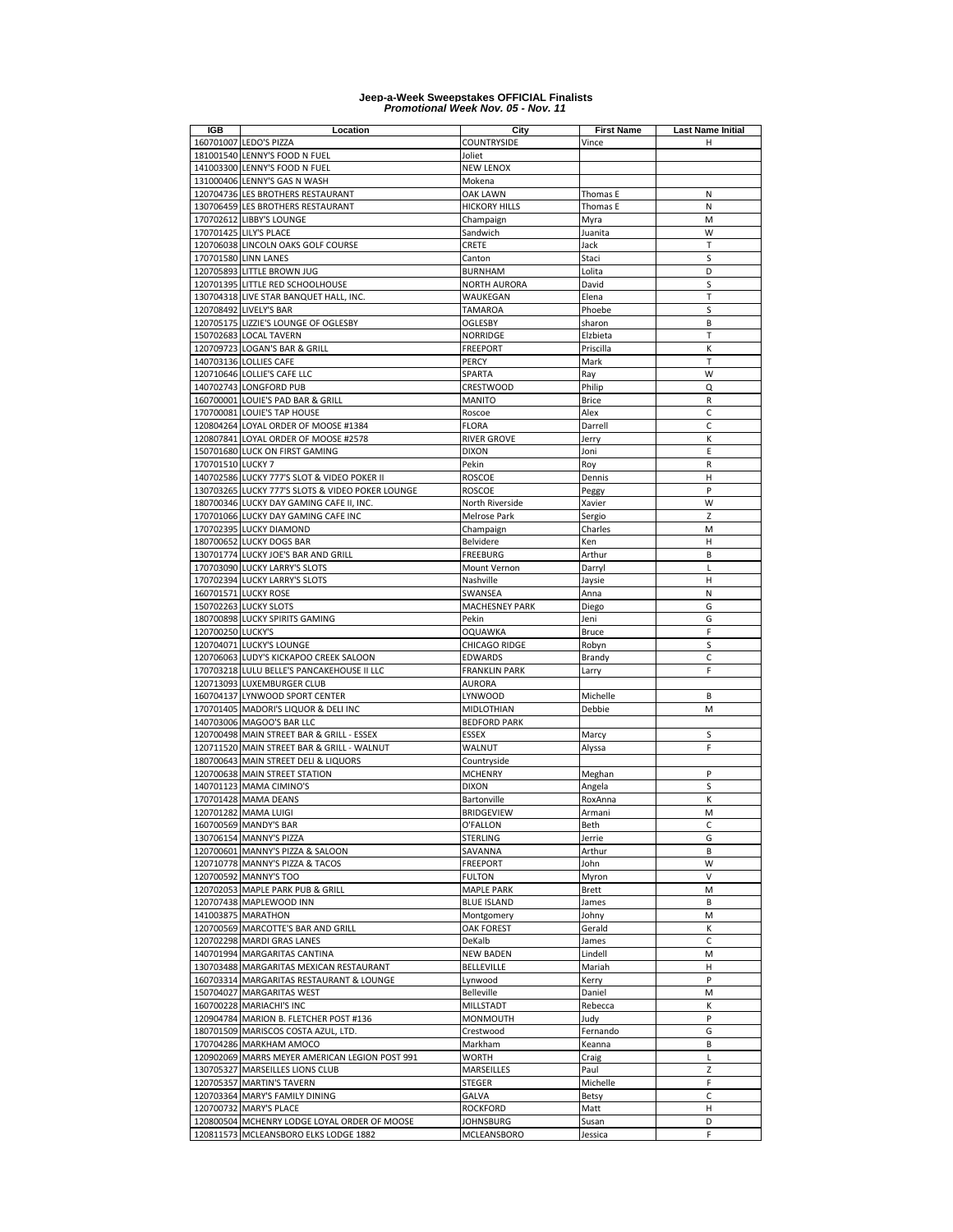| <b>IGB</b>        | Location                                         | City                  | <b>First Name</b> | <b>Last Name Initial</b> |
|-------------------|--------------------------------------------------|-----------------------|-------------------|--------------------------|
|                   | 160701007 LEDO'S PIZZA                           | COUNTRYSIDE           | Vince             | н                        |
|                   | 181001540 LENNY'S FOOD N FUEL                    | Joliet                |                   |                          |
|                   | 141003300 LENNY'S FOOD N FUEL                    | <b>NEW LENOX</b>      |                   |                          |
|                   | 131000406 LENNY'S GAS N WASH                     | Mokena                |                   |                          |
|                   | 120704736 LES BROTHERS RESTAURANT                | OAK LAWN              | Thomas E          | N                        |
|                   | 130706459 LES BROTHERS RESTAURANT                | <b>HICKORY HILLS</b>  | Thomas E          | Ν                        |
|                   | 170702612 LIBBY'S LOUNGE                         | Champaign             | Myra              | M                        |
|                   |                                                  |                       |                   |                          |
|                   | 170701425 LILY'S PLACE                           | Sandwich              | Juanita           | W                        |
|                   | 120706038 LINCOLN OAKS GOLF COURSE               | CRETE                 | Jack              | T                        |
|                   | 170701580 LINN LANES                             | Canton                | Staci             | S                        |
|                   | 120705893 LITTLE BROWN JUG                       | <b>BURNHAM</b>        | Lolita            | D                        |
|                   | 120701395 LITTLE RED SCHOOLHOUSE                 | <b>NORTH AURORA</b>   | David             | S                        |
|                   | 130704318 LIVE STAR BANQUET HALL, INC.           | WAUKEGAN              | Elena             | T                        |
|                   | 120708492 LIVELY'S BAR                           | <b>TAMAROA</b>        | Phoebe            | S                        |
|                   | 120705175 LIZZIE'S LOUNGE OF OGLESBY             | OGLESBY               | sharon            | B                        |
|                   | 150702683 LOCAL TAVERN                           | <b>NORRIDGE</b>       | Elzbieta          | T                        |
|                   | 120709723 LOGAN'S BAR & GRILL                    | <b>FREEPORT</b>       | Priscilla         | К                        |
|                   | 140703136 LOLLIES CAFE                           | PERCY                 | Mark              | T                        |
|                   | 120710646 LOLLIE'S CAFE LLC                      | SPARTA                | Ray               | W                        |
|                   | 140702743 LONGFORD PUB                           | <b>CRESTWOOD</b>      | Philip            | Q                        |
|                   |                                                  |                       |                   |                          |
|                   | 160700001 LOUIE'S PAD BAR & GRILL                | MANITO                | <b>Brice</b>      | R                        |
|                   | 170700081 LOUIE'S TAP HOUSE                      | Roscoe                | Alex              | C                        |
|                   | 120804264 LOYAL ORDER OF MOOSE #1384             | <b>FLORA</b>          | Darrell           | C                        |
|                   | 120807841 LOYAL ORDER OF MOOSE #2578             | <b>RIVER GROVE</b>    | Jerry             | К                        |
|                   | 150701680 LUCK ON FIRST GAMING                   | <b>DIXON</b>          | Joni              | E                        |
| 170701510 LUCKY 7 |                                                  | Pekin                 | Roy               | R                        |
|                   | 140702586 LUCKY 777'S SLOT & VIDEO POKER II      | <b>ROSCOE</b>         | Dennis            | Н                        |
|                   | 130703265 LUCKY 777'S SLOTS & VIDEO POKER LOUNGE | <b>ROSCOE</b>         | Peggy             | P                        |
|                   | 180700346 LUCKY DAY GAMING CAFE II, INC.         | North Riverside       | Xavier            | W                        |
|                   | 170701066 LUCKY DAY GAMING CAFE INC              | Melrose Park          | Sergio            | Z                        |
|                   | 170702395 LUCKY DIAMOND                          | Champaign             | Charles           | M                        |
|                   | 180700652 LUCKY DOGS BAR                         | Belvidere             | Ken               | н                        |
|                   |                                                  |                       |                   | B                        |
|                   | 130701774 LUCKY JOE'S BAR AND GRILL              | <b>FREEBURG</b>       | Arthur            |                          |
|                   | 170703090 LUCKY LARRY'S SLOTS                    | Mount Vernon          | Darryl            | L                        |
|                   | 170702394 LUCKY LARRY'S SLOTS                    | Nashville             | Jaysie            | H                        |
|                   | 160701571 LUCKY ROSE                             | SWANSEA               | Anna              | N                        |
|                   | 150702263 LUCKY SLOTS                            | <b>MACHESNEY PARK</b> | Diego             | G                        |
|                   | 180700898 LUCKY SPIRITS GAMING                   | Pekin                 | Jeni              | G                        |
| 120700250 LUCKY'S |                                                  | <b>OQUAWKA</b>        | <b>Bruce</b>      | F                        |
|                   | 120704071 LUCKY'S LOUNGE                         | CHICAGO RIDGE         | Robyn             | S                        |
|                   | 120706063 LUDY'S KICKAPOO CREEK SALOON           | <b>EDWARDS</b>        | Brandy            | $\mathsf{C}$             |
|                   | 170703218 LULU BELLE'S PANCAKEHOUSE II LLC       | <b>FRANKLIN PARK</b>  | Larry             | F                        |
|                   | 120713093 LUXEMBURGER CLUB                       | <b>AURORA</b>         |                   |                          |
|                   | 160704137 LYNWOOD SPORT CENTER                   | LYNWOOD               | Michelle          | B                        |
|                   | 170701405 MADORI'S LIQUOR & DELI INC             | MIDLOTHIAN            | Debbie            | M                        |
|                   |                                                  |                       |                   |                          |
|                   | 140703006 MAGOO'S BAR LLC                        | <b>BEDFORD PARK</b>   |                   |                          |
|                   | 120700498 MAIN STREET BAR & GRILL - ESSEX        | ESSEX                 | Marcy             | S                        |
|                   | 120711520 MAIN STREET BAR & GRILL - WALNUT       | WALNUT                | Alyssa            | F                        |
|                   | 180700643 MAIN STREET DELI & LIQUORS             | Countryside           |                   |                          |
|                   | 120700638 MAIN STREET STATION                    | <b>MCHENRY</b>        | Meghan            | P                        |
|                   | 140701123 MAMA CIMINO'S                          | <b>DIXON</b>          | Angela            | S                        |
|                   | 170701428 MAMA DEANS                             | Bartonville           | RoxAnna           | К                        |
|                   | 120701282 MAMA LUIGI                             | <b>BRIDGEVIEW</b>     | Armani            | M                        |
|                   | 160700569 MANDY'S BAR                            | O'FALLON              | Beth              | c                        |
|                   | 130706154 MANNY'S PIZZA                          | STERLING              | Jerrie            | G                        |
|                   | 120700601 MANNY'S PIZZA & SALOON                 | SAVANNA               | Arthur            | B                        |
|                   | 120710778 MANNY'S PIZZA & TACOS                  | <b>FREEPORT</b>       | John              | W                        |
|                   | 120700592 MANNY'S TOO                            | <b>FULTON</b>         | Myron             | V                        |
|                   | 120702053 MAPLE PARK PUB & GRILL                 |                       |                   |                          |
|                   |                                                  | <b>MAPLE PARK</b>     | <b>Brett</b>      | M                        |
|                   | 120707438 MAPLEWOOD INN                          | <b>BLUE ISLAND</b>    | James             | B                        |
|                   | 141003875 MARATHON                               | Montgomery            | Johny             | M                        |
|                   | 120700569 MARCOTTE'S BAR AND GRILL               | OAK FOREST            | Gerald            | К                        |
|                   | 120702298 MARDI GRAS LANES                       | DeKalb                | James             | C                        |
|                   | 140701994 MARGARITAS CANTINA                     | <b>NEW BADEN</b>      | Lindell           | M                        |
|                   | 130703488 MARGARITAS MEXICAN RESTAURANT          | <b>BELLEVILLE</b>     | Mariah            | н                        |
|                   | 160703314 MARGARITAS RESTAURANT & LOUNGE         | Lynwood               | Kerry             | P                        |
|                   | 150704027 MARGARITAS WEST                        | <b>Belleville</b>     | Daniel            | M                        |
|                   | 160700228 MARIACHI'S INC                         | MILLSTADT             | Rebecca           | К                        |
|                   | 120904784 MARION B. FLETCHER POST #136           | MONMOUTH              | Judy              | P                        |
|                   | 180701509 MARISCOS COSTA AZUL, LTD.              | Crestwood             | Fernando          | G                        |
|                   |                                                  |                       |                   |                          |
|                   | 170704286 MARKHAM AMOCO                          | Markham               | Keanna            | B                        |
|                   | 120902069 MARRS MEYER AMERICAN LEGION POST 991   | WORTH                 | Craig             | $\mathsf{L}$             |
|                   | 130705327 MARSEILLES LIONS CLUB                  | MARSEILLES            | Paul              | Z                        |
|                   | 120705357 MARTIN'S TAVERN                        | STEGER                | Michelle          | F                        |
|                   | 120703364 MARY'S FAMILY DINING                   | GALVA                 | Betsy             | C                        |
|                   | 120700732 MARY'S PLACE                           | ROCKFORD              | Matt              | н                        |
|                   | 120800504 MCHENRY LODGE LOYAL ORDER OF MOOSE     | JOHNSBURG             | Susan             | D                        |
| 120811573         | MCLEANSBORO ELKS LODGE 1882                      | MCLEANSBORO           | Jessica           | F                        |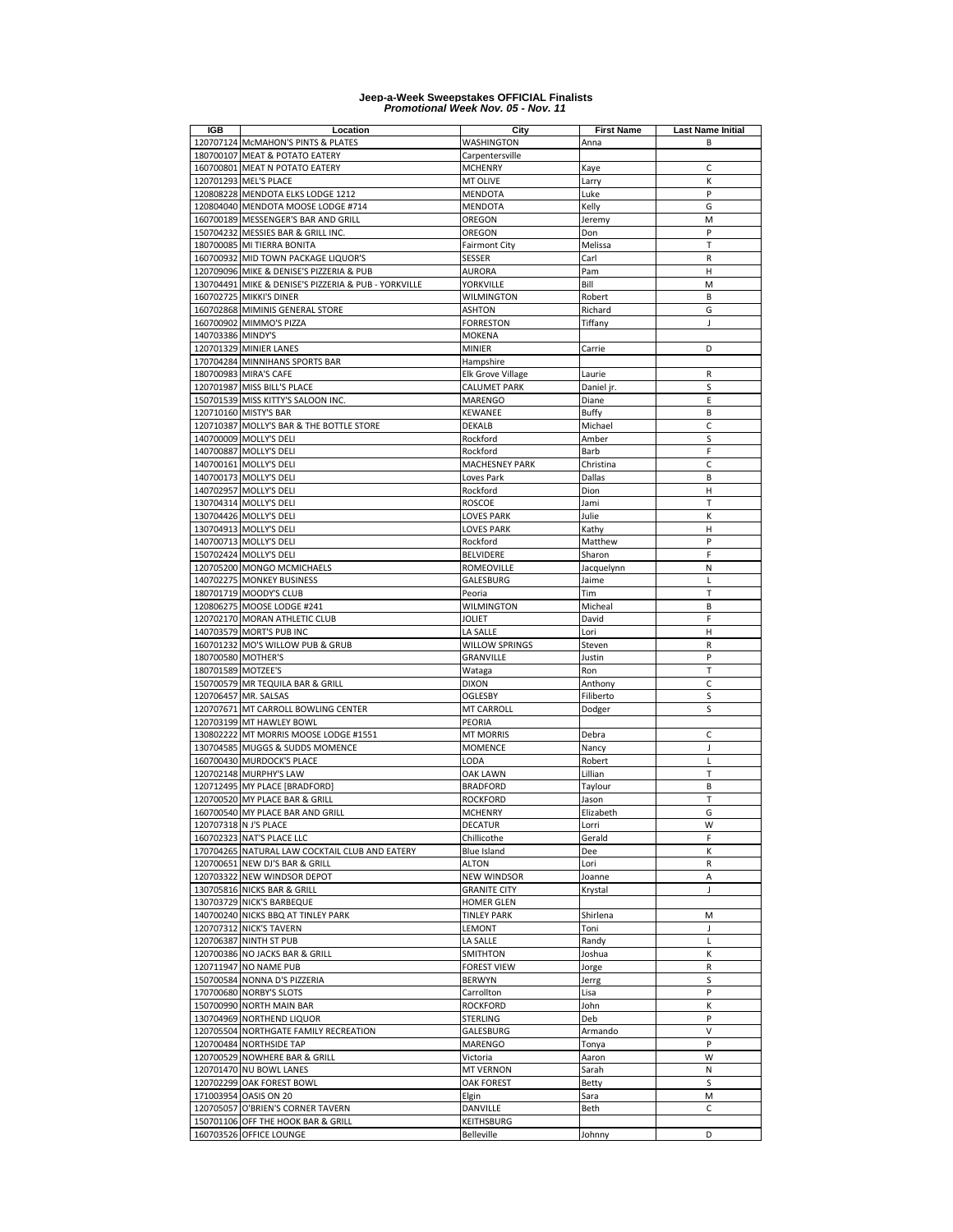| <b>IGB</b>         | Location                                             | City                 | <b>First Name</b> | <b>Last Name Initial</b> |
|--------------------|------------------------------------------------------|----------------------|-------------------|--------------------------|
|                    | 120707124 McMAHON'S PINTS & PLATES                   | WASHINGTON           | Anna              | B                        |
|                    | 180700107 MEAT & POTATO EATERY                       | Carpentersville      |                   |                          |
|                    | 160700801 MEAT N POTATO EATERY                       | <b>MCHENRY</b>       | Kaye              | C                        |
|                    | 120701293 MEL'S PLACE                                | MT OLIVE             | Larry             | К                        |
|                    | 120808228 MENDOTA ELKS LODGE 1212                    | MENDOTA              | Luke              | P                        |
|                    | 120804040 MENDOTA MOOSE LODGE #714                   | MENDOTA              | Kelly             | G                        |
|                    | 160700189 MESSENGER'S BAR AND GRILL                  | OREGON               |                   | M                        |
|                    |                                                      |                      | Jeremy            |                          |
|                    | 150704232 MESSIES BAR & GRILL INC.                   | OREGON               | Don               | P                        |
|                    | 180700085 MI TIERRA BONITA                           | <b>Fairmont City</b> | Melissa           | T                        |
|                    | 160700932 MID TOWN PACKAGE LIQUOR'S                  | SESSER               | Carl              | R                        |
|                    | 120709096 MIKE & DENISE'S PIZZERIA & PUB             | AURORA               | Pam               | Н                        |
|                    | 130704491 MIKE & DENISE'S PIZZERIA & PUB - YORKVILLE | YORKVILLE            | Bill              | M                        |
|                    | 160702725 MIKKI'S DINER                              | <b>WILMINGTON</b>    | Robert            | B                        |
|                    | 160702868 MIMINIS GENERAL STORE                      | ASHTON               | Richard           | G                        |
|                    | 160700902 MIMMO'S PIZZA                              | <b>FORRESTON</b>     | Tiffany           | J                        |
| 140703386 MINDY'S  |                                                      | MOKENA               |                   |                          |
|                    | 120701329 MINIER LANES                               | <b>MINIER</b>        | Carrie            | D                        |
|                    | 170704284 MINNIHANS SPORTS BAR                       | Hampshire            |                   |                          |
|                    | 180700983 MIRA'S CAFE                                | Elk Grove Village    | Laurie            | R                        |
| 120701987          | MISS BILL'S PLACE                                    | <b>CALUMET PARK</b>  | Daniel jr.        | S                        |
|                    | 150701539 MISS KITTY'S SALOON INC.                   | MARENGO              | Diane             | E                        |
|                    | 120710160 MISTY'S BAR                                | KEWANEE              | <b>Buffy</b>      | B                        |
|                    |                                                      |                      |                   | C                        |
| 120710387          | MOLLY'S BAR & THE BOTTLE STORE                       | DEKALB               | Michael           |                          |
|                    | 140700009 MOLLY'S DELI                               | Rockford             | Amber             | S                        |
|                    | 140700887 MOLLY'S DELI                               | Rockford             | Barb              | F                        |
|                    | 140700161 MOLLY'S DELI                               | MACHESNEY PARK       | Christina         | C                        |
|                    | 140700173 MOLLY'S DELI                               | Loves Park           | Dallas            | B                        |
|                    | 140702957 MOLLY'S DELI                               | Rockford             | Dion              | н                        |
|                    | 130704314 MOLLY'S DELI                               | <b>ROSCOE</b>        | Jami              | Т                        |
|                    | 130704426 MOLLY'S DELI                               | LOVES PARK           | Julie             | К                        |
|                    | 130704913 MOLLY'S DELI                               | <b>LOVES PARK</b>    | Kathy             | н                        |
|                    | 140700713 MOLLY'S DELI                               | Rockford             | Matthew           | P                        |
|                    | 150702424 MOLLY'S DELI                               | BELVIDERE            | Sharon            | F                        |
|                    | 120705200 MONGO MCMICHAELS                           | <b>ROMEOVILLE</b>    | Jacquelynn        | N                        |
|                    | 140702275 MONKEY BUSINESS                            | GALESBURG            | Jaime             | L                        |
|                    | 180701719 MOODY'S CLUB                               |                      | Tim               | T                        |
|                    |                                                      | Peoria               |                   |                          |
|                    | 120806275 MOOSE LODGE #241                           | WILMINGTON           | Micheal           | B                        |
|                    | 120702170 MORAN ATHLETIC CLUB                        | <b>JOLIET</b>        | David             | F                        |
|                    | 140703579 MORT'S PUB INC                             | LA SALLE             | Lori              | н                        |
|                    | 160701232 MO'S WILLOW PUB & GRUB                     | WILLOW SPRINGS       | Steven            | R                        |
| 180700580 MOTHER'S |                                                      | GRANVILLE            | Justin            | P                        |
| 180701589 MOTZEE'S |                                                      | Wataga               | Ron               | T                        |
|                    | 150700579 MR TEQUILA BAR & GRILL                     | <b>DIXON</b>         | Anthony           | C                        |
|                    | 120706457 MR. SALSAS                                 | OGLESBY              | Filiberto         | S                        |
|                    | 120707671 MT CARROLL BOWLING CENTER                  | MT CARROLL           | Dodger            | S                        |
|                    | 120703199 MT HAWLEY BOWL                             | PEORIA               |                   |                          |
|                    | 130802222 MT MORRIS MOOSE LODGE #1551                | <b>MT MORRIS</b>     | Debra             | C                        |
|                    | 130704585 MUGGS & SUDDS MOMENCE                      | <b>MOMENCE</b>       | Nancy             | J                        |
|                    | 160700430 MURDOCK'S PLACE                            | LODA                 | Robert            | L                        |
|                    | 120702148 MURPHY'S LAW                               | OAK LAWN             | Lillian           | Т                        |
|                    | 120712495 MY PLACE [BRADFORD]                        |                      |                   |                          |
|                    |                                                      | <b>BRADFORD</b>      | Taylour           | B                        |
|                    | 120700520 MY PLACE BAR & GRILL                       | <b>ROCKFORD</b>      | Jason             | Т                        |
|                    | 160700540 MY PLACE BAR AND GRILL                     | <b>MCHENRY</b>       | Elizabeth         | G                        |
|                    | 120707318 N J'S PLACE                                | DECATUR              | Lorri             | W                        |
|                    | 160702323 NAT'S PLACE LLC                            | Chillicothe          | Gerald            | F                        |
|                    | 170704265 NATURAL LAW COCKTAIL CLUB AND EATERY       | <b>Blue Island</b>   | Dee               | К                        |
|                    | 120700651 NEW DJ'S BAR & GRILL                       | ALTON                | Lori              | R                        |
|                    | 120703322 NEW WINDSOR DEPOT                          | <b>NEW WINDSOR</b>   | Joanne            | Α                        |
|                    | 130705816 NICKS BAR & GRILL                          | <b>GRANITE CITY</b>  | Krystal           | J                        |
|                    | 130703729 NICK'S BARBEQUE                            | <b>HOMER GLEN</b>    |                   |                          |
|                    | 140700240 NICKS BBQ AT TINLEY PARK                   | <b>TINLEY PARK</b>   | Shirlena          | М                        |
|                    | 120707312 NICK'S TAVERN                              | LEMONT               | Toni              | J                        |
|                    | 120706387 NINTH ST PUB                               | LA SALLE             | Randy             | L                        |
|                    | 120700386 NO JACKS BAR & GRILL                       | <b>SMITHTON</b>      | Joshua            | К                        |
|                    | 120711947 NO NAME PUB                                | <b>FOREST VIEW</b>   | Jorge             | R                        |
|                    |                                                      |                      |                   |                          |
|                    | 150700584 NONNA D'S PIZZERIA                         | <b>BERWYN</b>        | Jerrg             | S                        |
|                    | 170700680 NORBY'S SLOTS                              | Carrollton           | Lisa              | P                        |
|                    | 150700990 NORTH MAIN BAR                             | <b>ROCKFORD</b>      | John              | К                        |
|                    | 130704969 NORTHEND LIQUOR                            | STERLING             | Deb               | P                        |
|                    | 120705504 NORTHGATE FAMILY RECREATION                | GALESBURG            | Armando           | V                        |
|                    | 120700484 NORTHSIDE TAP                              | MARENGO              | Tonya             | P                        |
|                    | 120700529 NOWHERE BAR & GRILL                        | Victoria             | Aaron             | W                        |
|                    | 120701470 NU BOWL LANES                              | <b>MT VERNON</b>     | Sarah             | N                        |
|                    | 120702299 OAK FOREST BOWL                            | OAK FOREST           | <b>Betty</b>      | S                        |
|                    | 171003954 OASIS ON 20                                | Elgin                | Sara              | М                        |
|                    | 120705057 O'BRIEN'S CORNER TAVERN                    | DANVILLE             | Beth              | C                        |
|                    | 150701106 OFF THE HOOK BAR & GRILL                   | KEITHSBURG           |                   |                          |
|                    | 160703526 OFFICE LOUNGE                              | <b>Belleville</b>    |                   | D                        |
|                    |                                                      |                      | Johnny            |                          |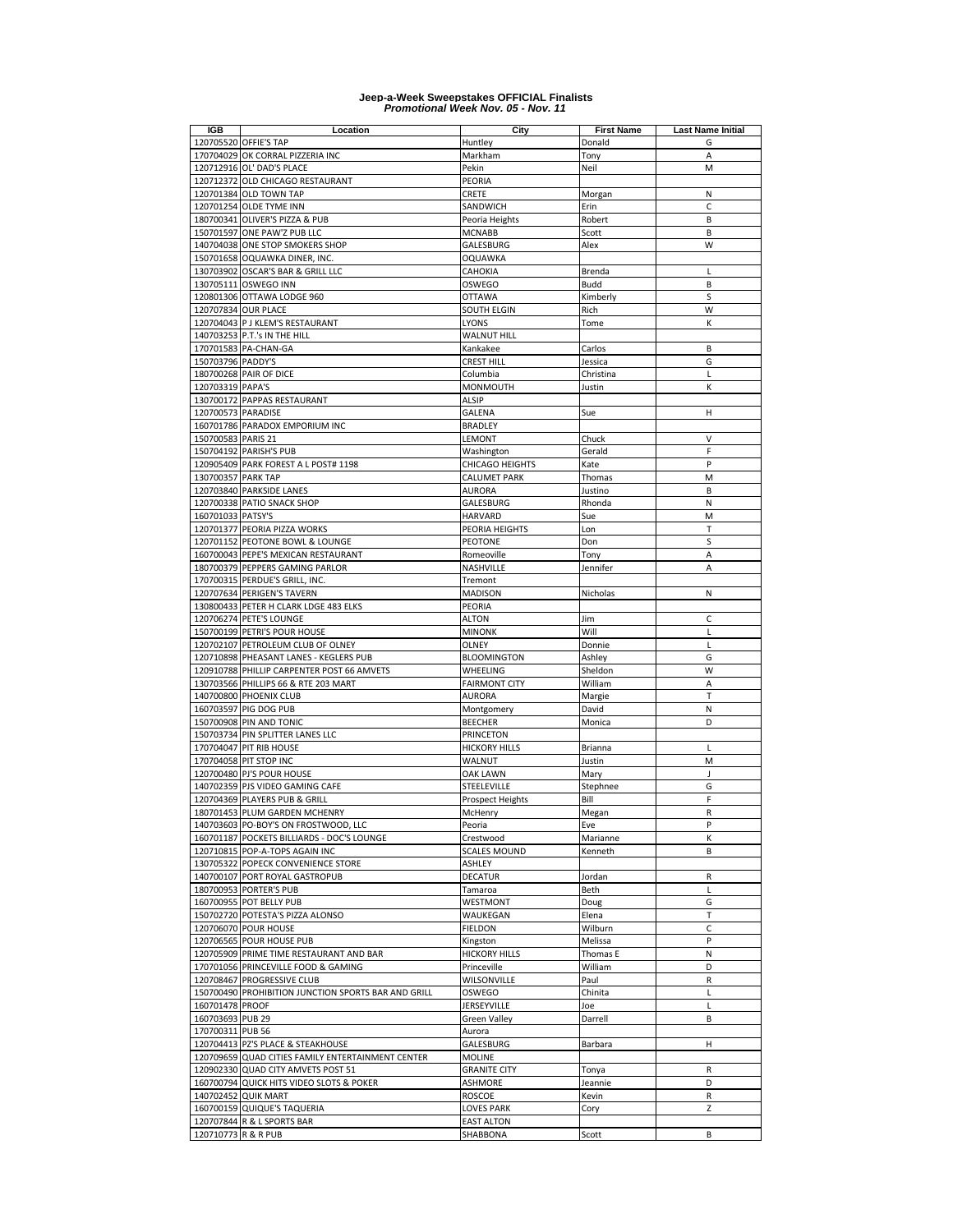| IGB                 | Location                                                                          | City                            | <b>First Name</b> | <b>Last Name Initial</b> |
|---------------------|-----------------------------------------------------------------------------------|---------------------------------|-------------------|--------------------------|
|                     | 120705520 OFFIE'S TAP                                                             | Huntley                         | Donald            | G                        |
|                     | 170704029 OK CORRAL PIZZERIA INC                                                  | Markham                         | Tony              | A                        |
|                     | 120712916 OL' DAD'S PLACE                                                         | Pekin                           | Neil              | M                        |
|                     | 120712372 OLD CHICAGO RESTAURANT                                                  | PEORIA                          |                   |                          |
|                     | 120701384 OLD TOWN TAP                                                            | CRETE                           | Morgan            | N                        |
|                     | 120701254 OLDE TYME INN                                                           | SANDWICH                        | Erin              | $\mathsf{C}$             |
|                     | 180700341 OLIVER'S PIZZA & PUB                                                    | Peoria Heights                  | Robert            | B                        |
|                     | 150701597 ONE PAW'Z PUB LLC                                                       | <b>MCNABB</b>                   | Scott             | B                        |
|                     | 140704038 ONE STOP SMOKERS SHOP                                                   | GALESBURG                       | Alex              | W                        |
|                     | 150701658 OQUAWKA DINER, INC.                                                     | OQUAWKA                         |                   |                          |
|                     | 130703902 OSCAR'S BAR & GRILL LLC                                                 | CAHOKIA                         | Brenda            | L                        |
|                     | 130705111 OSWEGO INN                                                              | OSWEGO                          | Budd              | B                        |
|                     | 120801306 OTTAWA LODGE 960                                                        | OTTAWA                          | Kimberly          | S                        |
|                     | 120707834 OUR PLACE                                                               | SOUTH ELGIN                     | Rich              | W                        |
|                     | 120704043 P J KLEM'S RESTAURANT                                                   | LYONS                           | Tome              | К                        |
|                     | 140703253 P.T.'s IN THE HILL                                                      | <b>WALNUT HILL</b>              |                   |                          |
|                     | 170701583 PA-CHAN-GA                                                              | Kankakee                        | Carlos            | B                        |
| 150703796 PADDY'S   |                                                                                   | CREST HILL                      | Jessica           | G                        |
|                     | 180700268 PAIR OF DICE                                                            | Columbia                        | Christina         | L                        |
| 120703319 PAPA'S    |                                                                                   | MONMOUTH                        | Justin            | К                        |
|                     | 130700172 PAPPAS RESTAURANT                                                       | <b>ALSIP</b>                    |                   |                          |
| 120700573 PARADISE  |                                                                                   | <b>GALENA</b>                   | Sue               | н                        |
|                     | 160701786 PARADOX EMPORIUM INC                                                    | <b>BRADLEY</b>                  |                   |                          |
| 150700583 PARIS 21  |                                                                                   | LEMONT                          | Chuck             | V                        |
|                     | 150704192 PARISH'S PUB                                                            | Washington                      | Gerald            | F                        |
|                     | 120905409 PARK FOREST A L POST# 1198                                              | CHICAGO HEIGHTS                 | Kate              | P                        |
| 130700357 PARK TAP  |                                                                                   | <b>CALUMET PARK</b>             | Thomas            | M                        |
|                     | 120703840 PARKSIDE LANES                                                          | <b>AURORA</b>                   | Justino           | B                        |
|                     | 120700338 PATIO SNACK SHOP                                                        | GALESBURG                       | Rhonda            | N                        |
| 160701033 PATSY'S   |                                                                                   | HARVARD                         | Sue               | M                        |
|                     | 120701377 PEORIA PIZZA WORKS                                                      | PEORIA HEIGHTS                  | Lon               | T                        |
|                     | 120701152 PEOTONE BOWL & LOUNGE                                                   | PEOTONE                         | Don               | S                        |
|                     | 160700043 PEPE'S MEXICAN RESTAURANT                                               | Romeoville                      | Tony              | A                        |
|                     | 180700379 PEPPERS GAMING PARLOR                                                   | NASHVILLE                       | Jennifer          | A                        |
|                     | 170700315 PERDUE'S GRILL, INC.                                                    | Tremont                         |                   |                          |
|                     | 120707634 PERIGEN'S TAVERN                                                        | <b>MADISON</b>                  | Nicholas          | Ν                        |
|                     | 130800433 PETER H CLARK LDGE 483 ELKS                                             | PEORIA                          |                   |                          |
|                     | 120706274 PETE'S LOUNGE                                                           | ALTON                           | Jim               | c                        |
|                     | 150700199 PETRI'S POUR HOUSE                                                      | <b>MINONK</b>                   | Will              | L                        |
|                     | 120702107 PETROLEUM CLUB OF OLNEY                                                 | OLNEY                           | Donnie            | L                        |
|                     | 120710898 PHEASANT LANES - KEGLERS PUB                                            | <b>BLOOMINGTON</b>              | Ashley            | G                        |
|                     | 120910788 PHILLIP CARPENTER POST 66 AMVETS                                        | WHEELING                        | Sheldon           | W                        |
|                     | 130703566 PHILLIPS 66 & RTE 203 MART                                              | <b>FAIRMONT CITY</b>            | William           | Α                        |
|                     | 140700800 PHOENIX CLUB                                                            | <b>AURORA</b>                   | Margie            | T                        |
|                     | 160703597 PIG DOG PUB                                                             | Montgomery                      | David             | N                        |
|                     | 150700908 PIN AND TONIC                                                           | <b>BEECHER</b>                  | Monica            | D                        |
|                     | 150703734 PIN SPLITTER LANES LLC                                                  | <b>PRINCETON</b>                |                   |                          |
|                     | 170704047 PIT RIB HOUSE                                                           | <b>HICKORY HILLS</b>            | Brianna           | L                        |
|                     | 170704058 PIT STOP INC                                                            | WALNUT                          | Justin            | M                        |
|                     | 120700480 PJ'S POUR HOUSE                                                         | <b>OAK LAWN</b>                 | Mary              | J                        |
|                     | 140702359 PJS VIDEO GAMING CAFE                                                   | STEELEVILLE                     | Stephnee          | G<br>F                   |
|                     | 120704369 PLAYERS PUB & GRILL                                                     | <b>Prospect Heights</b>         | Bill              |                          |
|                     | 180701453 PLUM GARDEN MCHENRY                                                     | McHenry                         | Megan             | $\mathsf R$              |
|                     | 140703603 PO-BOY'S ON FROSTWOOD, LLC                                              | Peoria                          | Eve               | P                        |
|                     | 160701187 POCKETS BILLIARDS - DOC'S LOUNGE                                        | Crestwood                       | Marianne          | К                        |
|                     | 120710815 POP-A-TOPS AGAIN INC                                                    | <b>SCALES MOUND</b>             | Kenneth           | В                        |
|                     | 130705322 POPECK CONVENIENCE STORE                                                | ASHLEY                          |                   |                          |
|                     | 140700107 PORT ROYAL GASTROPUB                                                    | DECATUR                         | Jordan            | R                        |
|                     | 180700953 PORTER'S PUB                                                            | Tamaroa                         | Beth              | L                        |
|                     | 160700955 POT BELLY PUB                                                           | WESTMONT                        | Doug              | G                        |
|                     | 150702720 POTESTA'S PIZZA ALONSO                                                  | WAUKEGAN                        | Elena             | Т                        |
|                     | 120706070 POUR HOUSE                                                              | <b>FIELDON</b>                  | Wilburn           | C                        |
|                     | 120706565 POUR HOUSE PUB                                                          | Kingston                        | Melissa           | P                        |
|                     | 120705909 PRIME TIME RESTAURANT AND BAR                                           | <b>HICKORY HILLS</b>            | Thomas E          | N                        |
|                     | 170701056 PRINCEVILLE FOOD & GAMING                                               | Princeville                     | William           | D                        |
|                     | 120708467 PROGRESSIVE CLUB<br>150700490 PROHIBITION JUNCTION SPORTS BAR AND GRILL | WILSONVILLE<br>OSWEGO           | Paul              | R                        |
|                     |                                                                                   |                                 | Chinita           | L                        |
| 160701478 PROOF     |                                                                                   | JERSEYVILLE                     | Joe               | L                        |
| 160703693 PUB 29    |                                                                                   | Green Valley                    | Darrell           | B                        |
| 170700311 PUB 56    |                                                                                   | Aurora                          |                   |                          |
|                     | 120704413 PZ'S PLACE & STEAKHOUSE                                                 | GALESBURG                       | Barbara           | н                        |
|                     | 120709659 QUAD CITIES FAMILY ENTERTAINMENT CENTER                                 | <b>MOLINE</b>                   |                   |                          |
|                     | 120902330 QUAD CITY AMVETS POST 51                                                | <b>GRANITE CITY</b>             | Tonya             | R<br>D                   |
|                     | 160700794 QUICK HITS VIDEO SLOTS & POKER                                          | <b>ASHMORE</b>                  | Jeannie           |                          |
|                     | 140702452 QUIK MART                                                               | ROSCOE                          | Kevin             | R<br>Z                   |
|                     | 160700159 QUIQUE'S TAQUERIA                                                       | LOVES PARK<br><b>EAST ALTON</b> | Cory              |                          |
| 120710773 R & R PUB | 120707844 R & L SPORTS BAR                                                        | SHABBONA                        |                   | B                        |
|                     |                                                                                   |                                 | Scott             |                          |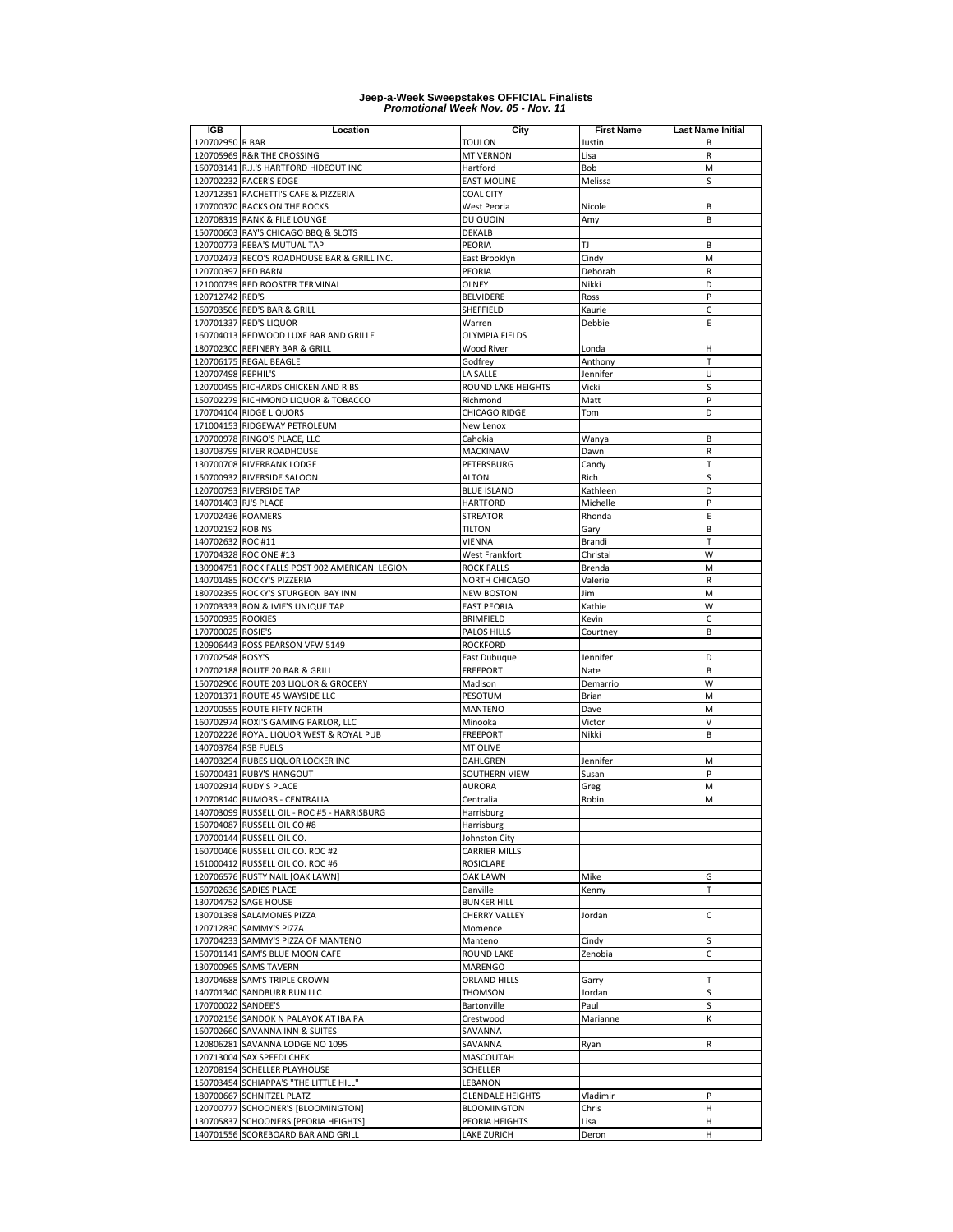| <b>IGB</b>           | Location                                                             | City                           | <b>First Name</b> | <b>Last Name Initial</b> |
|----------------------|----------------------------------------------------------------------|--------------------------------|-------------------|--------------------------|
| 120702950 R BAR      |                                                                      | Toulon                         | Justin            | B                        |
|                      | 120705969 R&R THE CROSSING                                           | <b>MT VERNON</b>               | Lisa              | R                        |
|                      | 160703141 R.J.'S HARTFORD HIDEOUT INC                                | Hartford                       | Bob               | M                        |
|                      | 120702232 RACER'S EDGE                                               | <b>EAST MOLINE</b>             | Melissa           | S                        |
|                      | 120712351 RACHETTI'S CAFE & PIZZERIA                                 | <b>COAL CITY</b>               |                   |                          |
|                      | 170700370 RACKS ON THE ROCKS                                         | West Peoria                    | Nicole            | B                        |
|                      | 120708319 RANK & FILE LOUNGE                                         | DU QUOIN                       | Amy               | B                        |
|                      | 150700603 RAY'S CHICAGO BBQ & SLOTS                                  | <b>DEKALB</b>                  |                   |                          |
|                      | 120700773 REBA'S MUTUAL TAP                                          | PEORIA                         | TJ                | B                        |
|                      | 170702473 RECO'S ROADHOUSE BAR & GRILL INC.                          | East Brooklyn                  | Cindy             | M                        |
| 120700397 RED BARN   |                                                                      | PEORIA                         | Deborah           | R                        |
|                      | 121000739 RED ROOSTER TERMINAL                                       | OLNEY                          | Nikki             | D                        |
| 120712742 RED'S      |                                                                      | <b>BELVIDERE</b>               | Ross              | P                        |
|                      | 160703506 RED'S BAR & GRILL                                          | SHEFFIELD                      | Kaurie            | $\mathsf{C}$             |
|                      | 170701337 RED'S LIQUOR                                               | Warren                         | Debbie            | E                        |
|                      | 160704013 REDWOOD LUXE BAR AND GRILLE                                | <b>OLYMPIA FIELDS</b>          |                   |                          |
|                      | 180702300 REFINERY BAR & GRILL                                       | <b>Wood River</b>              | Londa             | Н                        |
|                      | 120706175 REGAL BEAGLE                                               | Godfrey                        | Anthony           | T                        |
| 120707498 REPHIL'S   |                                                                      | LA SALLE                       | Jennifer          | U                        |
|                      | 120700495 RICHARDS CHICKEN AND RIBS                                  | ROUND LAKE HEIGHTS             | Vicki             | S                        |
|                      | 150702279 RICHMOND LIQUOR & TOBACCO                                  | Richmond                       | Matt              | P                        |
|                      | 170704104 RIDGE LIQUORS                                              | CHICAGO RIDGE                  | Tom               | D                        |
|                      | 171004153 RIDGEWAY PETROLEUM                                         | New Lenox                      |                   |                          |
|                      | 170700978 RINGO'S PLACE, LLC                                         | Cahokia                        | Wanya             | B                        |
|                      | 130703799 RIVER ROADHOUSE                                            | MACKINAW                       | Dawn              | R                        |
|                      | 130700708 RIVERBANK LODGE                                            | PETERSBURG                     | Candy             | T                        |
|                      | 150700932 RIVERSIDE SALOON                                           | <b>ALTON</b>                   | Rich              | S                        |
|                      | 120700793 RIVERSIDE TAP                                              | <b>BLUE ISLAND</b>             | Kathleen          | D                        |
| 140701403 RJ'S PLACE |                                                                      | <b>HARTFORD</b>                | Michelle          | P                        |
| 170702436 ROAMERS    |                                                                      | <b>STREATOR</b>                | Rhonda            | E                        |
| 120702192 ROBINS     |                                                                      | <b>TILTON</b>                  | Gary              | B                        |
| 140702632 ROC #11    |                                                                      | VIENNA                         | Brandi            | T                        |
|                      | 170704328 ROC ONE #13                                                | West Frankfort                 | Christal          | W                        |
|                      | 130904751 ROCK FALLS POST 902 AMERICAN LEGION                        | <b>ROCK FALLS</b>              | Brenda            | M                        |
|                      | 140701485 ROCKY'S PIZZERIA                                           | NORTH CHICAGO                  | Valerie           | $\mathsf{R}$             |
|                      | 180702395 ROCKY'S STURGEON BAY INN                                   | <b>NEW BOSTON</b>              | Jim               | M                        |
|                      | 120703333 RON & IVIE'S UNIQUE TAP                                    | <b>EAST PEORIA</b>             | Kathie            | W                        |
| 150700935 ROOKIES    |                                                                      | <b>BRIMFIELD</b>               | Kevin             | C                        |
| 170700025 ROSIE'S    |                                                                      | PALOS HILLS                    | Courtney          | B                        |
|                      | 120906443 ROSS PEARSON VFW 5149                                      | <b>ROCKFORD</b>                |                   |                          |
| 170702548 ROSY'S     |                                                                      | East Dubuque                   | Jennifer          | D                        |
|                      | 120702188 ROUTE 20 BAR & GRILL                                       | <b>FREEPORT</b>                | Nate              | B                        |
|                      | 150702906 ROUTE 203 LIQUOR & GROCERY                                 | Madison                        | Demarrio          | W                        |
|                      | 120701371 ROUTE 45 WAYSIDE LLC                                       | PESOTUM                        | Brian             | M                        |
|                      | 120700555 ROUTE FIFTY NORTH                                          | MANTENO                        | Dave              | M                        |
|                      | 160702974 ROXI'S GAMING PARLOR, LLC                                  | Minooka                        | Victor            | V                        |
|                      | 120702226 ROYAL LIQUOR WEST & ROYAL PUB                              | <b>FREEPORT</b>                | Nikki             | B                        |
| 140703784 RSB FUELS  |                                                                      | MT OLIVE                       |                   |                          |
|                      | 140703294 RUBES LIQUOR LOCKER INC                                    | DAHLGREN                       | Jennifer          | M                        |
|                      | 160700431 RUBY'S HANGOUT                                             | SOUTHERN VIEW                  | Susan             | P                        |
|                      | 140702914 RUDY'S PLACE                                               | AURORA                         | Greg              | M                        |
|                      | 120708140 RUMORS - CENTRALIA                                         | Centralia                      | Robin             | M                        |
|                      | 140703099 RUSSELL OIL - ROC #5 - HARRISBURG                          | Harrisburg                     |                   |                          |
|                      | 160704087 RUSSELL OIL CO #8                                          | Harrisburg                     |                   |                          |
|                      | 170700144 RUSSELL OIL CO.                                            | Johnston City                  |                   |                          |
|                      | 160700406 RUSSELL OIL CO. ROC #2                                     | <b>CARRIER MILLS</b>           |                   |                          |
|                      | 161000412 RUSSELL OIL CO. ROC #6                                     | <b>ROSICLARE</b>               |                   |                          |
|                      | 120706576 RUSTY NAIL [OAK LAWN]<br>160702636 SADIES PLACE            | OAK LAWN                       | Mike              | G<br>T                   |
|                      |                                                                      | Danville                       | Kenny             |                          |
|                      | 130704752 SAGE HOUSE                                                 | <b>BUNKER HILL</b>             |                   |                          |
|                      | 130701398 SALAMONES PIZZA                                            | <b>CHERRY VALLEY</b>           | Jordan            | C                        |
|                      | 120712830 SAMMY'S PIZZA                                              | Momence                        |                   | S                        |
|                      | 170704233 SAMMY'S PIZZA OF MANTENO<br>150701141 SAM'S BLUE MOON CAFE | Manteno                        | Cindy<br>Zenobia  | $\mathsf{C}$             |
|                      | 130700965 SAMS TAVERN                                                | ROUND LAKE                     |                   |                          |
|                      |                                                                      | MARENGO<br><b>ORLAND HILLS</b> |                   | T                        |
|                      | 130704688 SAM'S TRIPLE CROWN<br>140701340 SANDBURR RUN LLC           | <b>THOMSON</b>                 | Garry             | S                        |
|                      |                                                                      |                                | Jordan            |                          |
| 170700022 SANDEE'S   |                                                                      | Bartonville                    | Paul              | S                        |
|                      | 170702156 SANDOK N PALAYOK AT IBA PA                                 | Crestwood                      | Marianne          | к                        |
|                      | 160702660 SAVANNA INN & SUITES                                       | SAVANNA                        |                   |                          |
|                      | 120806281 SAVANNA LODGE NO 1095                                      | SAVANNA                        | Ryan              | R                        |
|                      | 120713004 SAX SPEEDI CHEK                                            | MASCOUTAH                      |                   |                          |
|                      | 120708194 SCHELLER PLAYHOUSE                                         | SCHELLER                       |                   |                          |
|                      | 150703454 SCHIAPPA'S "THE LITTLE HILL"                               | LEBANON                        |                   |                          |
|                      | 180700667 SCHNITZEL PLATZ                                            | <b>GLENDALE HEIGHTS</b>        | Vladimir          | P                        |
|                      | 120700777 SCHOONER'S [BLOOMINGTON]                                   | <b>BLOOMINGTON</b>             | Chris             | н                        |
|                      | 130705837 SCHOONERS [PEORIA HEIGHTS]                                 | PEORIA HEIGHTS                 | Lisa              | н                        |
|                      | 140701556 SCOREBOARD BAR AND GRILL                                   | <b>LAKE ZURICH</b>             | Deron             | н                        |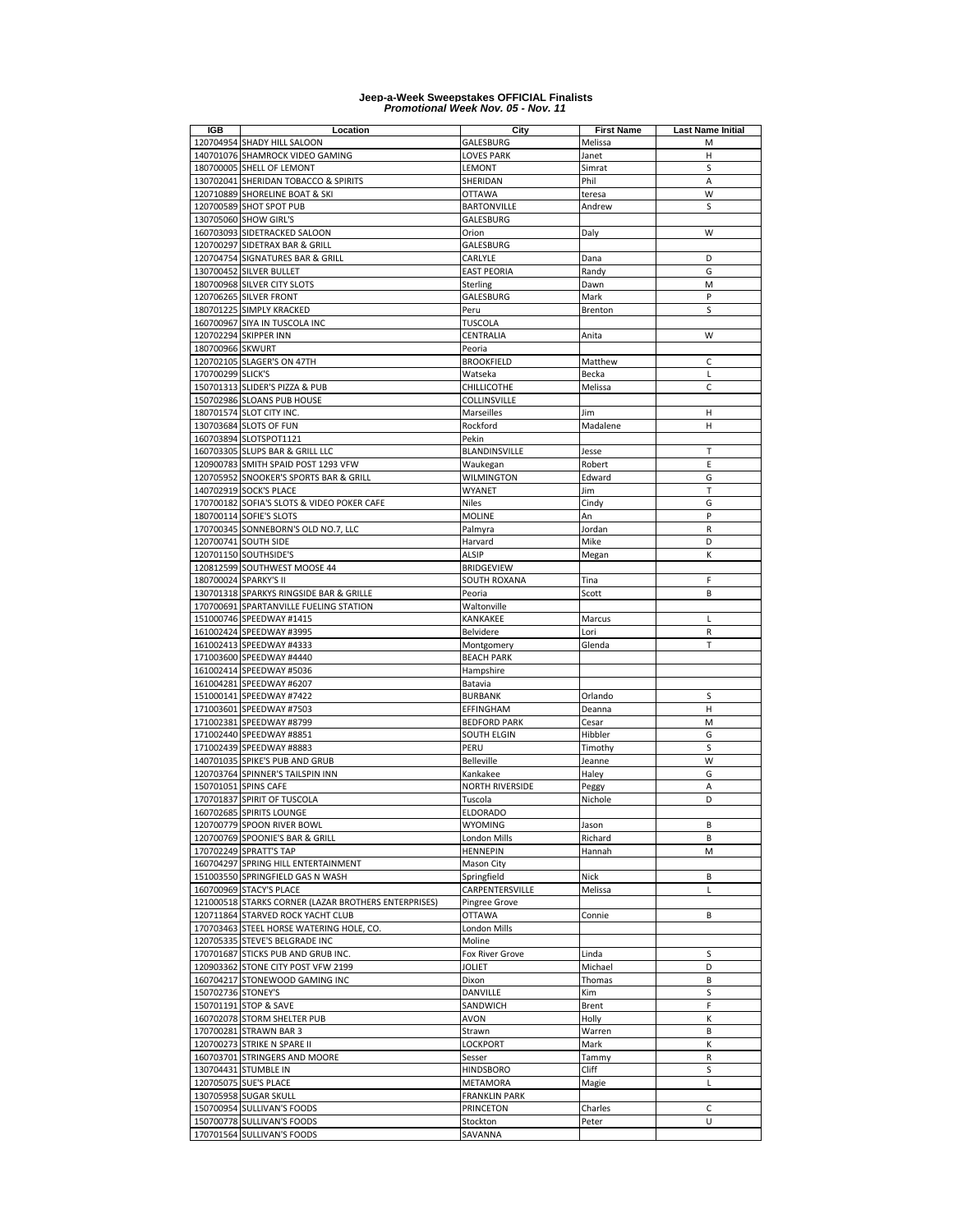| <b>IGB</b>         | Location                                             | City                   | <b>First Name</b> | <b>Last Name Initial</b> |
|--------------------|------------------------------------------------------|------------------------|-------------------|--------------------------|
|                    | 120704954 SHADY HILL SALOON                          | GALESBURG              | Melissa           | M                        |
|                    | 140701076 SHAMROCK VIDEO GAMING                      | <b>LOVES PARK</b>      | Janet             | н                        |
|                    | 180700005 SHELL OF LEMONT                            | LEMONT                 | Simrat            | S                        |
|                    |                                                      |                        | Phil              |                          |
|                    | 130702041 SHERIDAN TOBACCO & SPIRITS                 | SHERIDAN               |                   | A                        |
|                    | 120710889 SHORELINE BOAT & SKI                       | <b>OTTAWA</b>          | teresa            | W                        |
|                    | 120700589 SHOT SPOT PUB                              | <b>BARTONVILLE</b>     | Andrew            | S                        |
|                    | 130705060 SHOW GIRL'S                                | GALESBURG              |                   |                          |
|                    | 160703093 SIDETRACKED SALOON                         | Orion                  | Daly              | W                        |
|                    | 120700297 SIDETRAX BAR & GRILL                       | GALESBURG              |                   |                          |
|                    | 120704754 SIGNATURES BAR & GRILL                     | CARLYLE                | Dana              | D                        |
|                    | 130700452 SILVER BULLET                              | <b>EAST PEORIA</b>     | Randy             | G                        |
|                    | 180700968 SILVER CITY SLOTS                          | Sterling               | Dawn              | M                        |
|                    | 120706265 SILVER FRONT                               | GALESBURG              | Mark              | P                        |
|                    | 180701225 SIMPLY KRACKED                             | Peru                   | Brenton           | S                        |
|                    | 160700967 SIYA IN TUSCOLA INC                        | <b>TUSCOLA</b>         |                   |                          |
|                    |                                                      |                        |                   | W                        |
|                    | 120702294 SKIPPER INN                                | CENTRALIA              | Anita             |                          |
| 180700966 SKWURT   |                                                      | Peoria                 |                   |                          |
|                    | 120702105 SLAGER'S ON 47TH                           | <b>BROOKFIELD</b>      | Matthew           | $\mathsf{C}$             |
| 170700299 SLICK'S  |                                                      | Watseka                | Becka             | L                        |
|                    | 150701313 SLIDER'S PIZZA & PUB                       | CHILLICOTHE            | Melissa           | $\mathsf{C}$             |
|                    | 150702986 SLOANS PUB HOUSE                           | COLLINSVILLE           |                   |                          |
|                    | 180701574 SLOT CITY INC.                             | Marseilles             | Jim               | н                        |
|                    | 130703684 SLOTS OF FUN                               | Rockford               | Madalene          | н                        |
|                    | 160703894 SLOTSPOT1121                               | Pekin                  |                   |                          |
|                    | 160703305 SLUPS BAR & GRILL LLC                      | <b>BLANDINSVILLE</b>   | Jesse             | T                        |
|                    | 120900783 SMITH SPAID POST 1293 VFW                  | Waukegan               | Robert            | E                        |
|                    | 120705952 SNOOKER'S SPORTS BAR & GRILL               | WILMINGTON             | Edward            | G                        |
|                    | 140702919 SOCK'S PLACE                               | WYANET                 | Jim               | T                        |
|                    |                                                      |                        |                   |                          |
|                    | 170700182 SOFIA'S SLOTS & VIDEO POKER CAFE           | <b>Niles</b>           | Cindy             | G<br>P                   |
|                    | 180700114 SOFIE'S SLOTS                              | <b>MOLINE</b>          | An                |                          |
|                    | 170700345 SONNEBORN'S OLD NO.7, LLC                  | Palmyra                | Jordan            | R                        |
|                    | 120700741 SOUTH SIDE                                 | Harvard                | Mike              | D                        |
|                    | 120701150 SOUTHSIDE'S                                | ALSIP                  | Megan             | К                        |
|                    | 120812599 SOUTHWEST MOOSE 44                         | <b>BRIDGEVIEW</b>      |                   |                          |
|                    | 180700024 SPARKY'S II                                | SOUTH ROXANA           | Tina              | F                        |
|                    | 130701318 SPARKYS RINGSIDE BAR & GRILLE              | Peoria                 | Scott             | B                        |
|                    | 170700691 SPARTANVILLE FUELING STATION               | Waltonville            |                   |                          |
|                    | 151000746 SPEEDWAY #1415                             | KANKAKEE               | Marcus            | L                        |
|                    | 161002424 SPEEDWAY #3995                             | Belvidere              | Lori              | R                        |
|                    | 161002413 SPEEDWAY #4333                             | Montgomery             | Glenda            | т                        |
|                    | 171003600 SPEEDWAY #4440                             | <b>BEACH PARK</b>      |                   |                          |
|                    | 161002414 SPEEDWAY #5036                             | Hampshire              |                   |                          |
|                    |                                                      |                        |                   |                          |
|                    | 161004281 SPEEDWAY #6207                             | Batavia                |                   |                          |
|                    | 151000141 SPEEDWAY #7422                             | <b>BURBANK</b>         | Orlando           | S                        |
|                    | 171003601 SPEEDWAY #7503                             | EFFINGHAM              | Deanna            | Н                        |
|                    | 171002381 SPEEDWAY #8799                             | <b>BEDFORD PARK</b>    | Cesar             | M                        |
|                    | 171002440 SPEEDWAY #8851                             | SOUTH ELGIN            | Hibbler           | G                        |
|                    | 171002439 SPEEDWAY #8883                             | PERU                   | Timothy           | S                        |
|                    | 140701035 SPIKE'S PUB AND GRUB                       | <b>Belleville</b>      | Jeanne            | W                        |
|                    | 120703764 SPINNER'S TAILSPIN INN                     | Kankakee               | Haley             | G                        |
|                    | 150701051 SPINS CAFE                                 | <b>NORTH RIVERSIDE</b> | Peggy             | A                        |
|                    | 170701837 SPIRIT OF TUSCOLA                          | Tuscola                | Nichole           | D                        |
|                    | 160702685 SPIRITS LOUNGE                             | ELDORADO               |                   |                          |
|                    | 120700779 SPOON RIVER BOWL                           | WYOMING                | Jason             | В                        |
|                    | 120700769 SPOONIE'S BAR & GRILL                      | London Mills           | Richard           | B                        |
|                    | 170702249 SPRATT'S TAP                               | <b>HENNEPIN</b>        | Hannah            | M                        |
|                    |                                                      |                        |                   |                          |
|                    | 160704297 SPRING HILL ENTERTAINMENT                  | Mason City             |                   |                          |
|                    | 151003550 SPRINGFIELD GAS N WASH                     | Springfield            | Nick              | В                        |
|                    | 160700969 STACY'S PLACE                              | CARPENTERSVILLE        | Melissa           | L                        |
|                    | 121000518 STARKS CORNER (LAZAR BROTHERS ENTERPRISES) | Pingree Grove          |                   |                          |
|                    | 120711864 STARVED ROCK YACHT CLUB                    | <b>OTTAWA</b>          | Connie            | B                        |
|                    | 170703463 STEEL HORSE WATERING HOLE, CO.             | London Mills           |                   |                          |
|                    | 120705335 STEVE'S BELGRADE INC                       | Moline                 |                   |                          |
|                    | 170701687 STICKS PUB AND GRUB INC.                   | Fox River Grove        | Linda             | S                        |
|                    | 120903362 STONE CITY POST VFW 2199                   | JOLIET                 | Michael           | D                        |
|                    | 160704217 STONEWOOD GAMING INC                       | Dixon                  | Thomas            | B                        |
| 150702736 STONEY'S |                                                      | DANVILLE               | Kim               | S                        |
|                    | 150701191 STOP & SAVE                                | SANDWICH               | Brent             | F                        |
|                    | 160702078 STORM SHELTER PUB                          | AVON                   | Holly             | к                        |
|                    |                                                      |                        |                   | В                        |
|                    | 170700281 STRAWN BAR 3                               | Strawn                 | Warren            |                          |
|                    | 120700273 STRIKE N SPARE II                          | LOCKPORT               | Mark              | К                        |
|                    | 160703701 STRINGERS AND MOORE                        | Sesser                 | Tammy             | R                        |
|                    | 130704431 STUMBLE IN                                 | <b>HINDSBORO</b>       | Cliff             | S                        |
|                    | 120705075 SUE'S PLACE                                | METAMORA               | Magie             | L                        |
|                    | 130705958 SUGAR SKULL                                | <b>FRANKLIN PARK</b>   |                   |                          |
|                    | 150700954 SULLIVAN'S FOODS                           | PRINCETON              | Charles           | C                        |
|                    | 150700778 SULLIVAN'S FOODS                           | Stockton               | Peter             | U                        |
|                    | 170701564 SULLIVAN'S FOODS                           | SAVANNA                |                   |                          |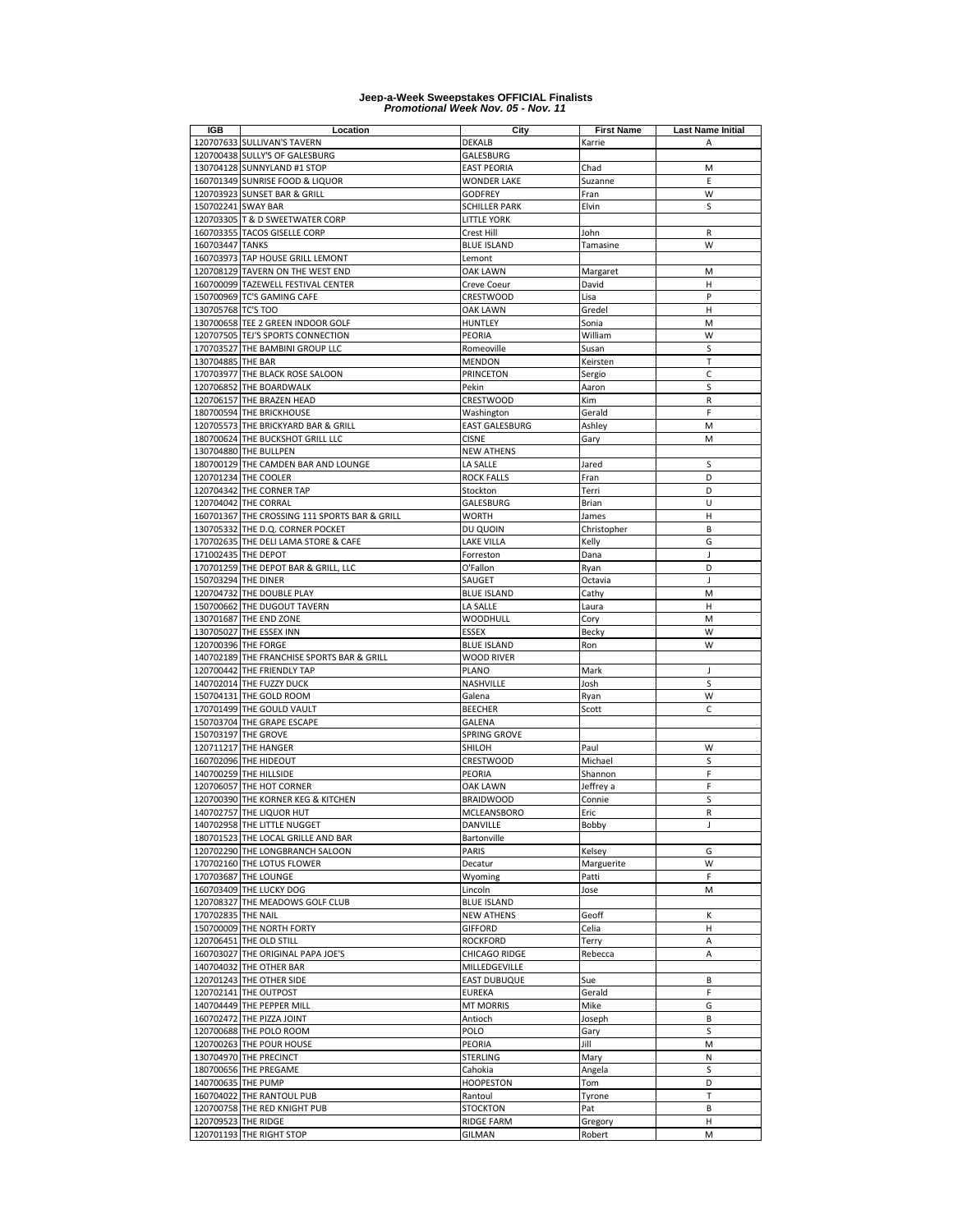| IGB                 | Location                                      | City                  | <b>First Name</b> | <b>Last Name Initial</b> |
|---------------------|-----------------------------------------------|-----------------------|-------------------|--------------------------|
|                     | 120707633 SULLIVAN'S TAVERN                   | <b>DEKALB</b>         | Karrie            | A                        |
|                     | 120700438 SULLY'S OF GALESBURG                | GALESBURG             |                   |                          |
|                     | 130704128 SUNNYLAND #1 STOP                   | <b>EAST PEORIA</b>    | Chad              | M                        |
|                     | 160701349 SUNRISE FOOD & LIQUOR               | <b>WONDER LAKE</b>    | Suzanne           | E                        |
|                     | 120703923 SUNSET BAR & GRILL                  | <b>GODFREY</b>        | Fran              | W                        |
| 150702241 SWAY BAR  |                                               | <b>SCHILLER PARK</b>  | Elvin             | S                        |
|                     | 120703305 T & D SWEETWATER CORP               | <b>LITTLE YORK</b>    |                   |                          |
|                     | 160703355 TACOS GISELLE CORP                  | Crest Hill            |                   |                          |
|                     |                                               |                       | John              | R                        |
| 160703447 TANKS     |                                               | <b>BLUE ISLAND</b>    | Tamasine          | W                        |
|                     | 160703973 TAP HOUSE GRILL LEMONT              | Lemont                |                   |                          |
|                     | 120708129 TAVERN ON THE WEST END              | OAK LAWN              | Margaret          | M                        |
|                     | 160700099 TAZEWELL FESTIVAL CENTER            | Creve Coeur           | David             | н                        |
|                     | 150700969 TC'S GAMING CAFE                    | CRESTWOOD             | Lisa              | P                        |
| 130705768 TC'S TOO  |                                               | OAK LAWN              | Gredel            | Н                        |
|                     | 130700658 TEE 2 GREEN INDOOR GOLF             | <b>HUNTLEY</b>        | Sonia             | M                        |
|                     | 120707505 TEJ'S SPORTS CONNECTION             | PEORIA                | William           | W                        |
|                     | 170703527 THE BAMBINI GROUP LLC               | Romeoville            | Susan             | S                        |
| 130704885 THE BAR   |                                               | <b>MENDON</b>         | Keirsten          | Т                        |
|                     | 170703977 THE BLACK ROSE SALOON               | PRINCETON             | Sergio            | C                        |
|                     | 120706852 THE BOARDWALK                       | Pekin                 | Aaron             | S                        |
|                     | 120706157 THE BRAZEN HEAD                     |                       | Kim               | R                        |
|                     |                                               | <b>CRESTWOOD</b>      |                   |                          |
|                     | 180700594 THE BRICKHOUSE                      | Washington            | Gerald            | F                        |
|                     | 120705573 THE BRICKYARD BAR & GRILL           | <b>EAST GALESBURG</b> | Ashley            | M                        |
|                     | 180700624 THE BUCKSHOT GRILL LLC              | <b>CISNE</b>          | Gary              | M                        |
|                     | 130704880 THE BULLPEN                         | <b>NEW ATHENS</b>     |                   |                          |
|                     | 180700129 THE CAMDEN BAR AND LOUNGE           | LA SALLE              | Jared             | S                        |
|                     | 120701234 THE COOLER                          | ROCK FALLS            | Fran              | D                        |
|                     | 120704342 THE CORNER TAP                      | Stockton              | Terri             | D                        |
|                     | 120704042 THE CORRAL                          | GALESBURG             | Brian             | U                        |
|                     | 160701367 THE CROSSING 111 SPORTS BAR & GRILL | <b>WORTH</b>          | James             | H                        |
|                     | 130705332 THE D.Q. CORNER POCKET              | DU QUOIN              | Christopher       | B                        |
|                     | 170702635 THE DELI LAMA STORE & CAFE          | LAKE VILLA            | Kelly             | G                        |
|                     | 171002435 THE DEPOT                           | Forreston             | Dana              | J                        |
|                     | 170701259 THE DEPOT BAR & GRILL, LLC          |                       |                   | D                        |
|                     |                                               | O'Fallon              | Ryan              |                          |
| 150703294 THE DINER |                                               | SAUGET                | Octavia           | J                        |
|                     | 120704732 THE DOUBLE PLAY                     | <b>BLUE ISLAND</b>    | Cathy             | M                        |
|                     | 150700662 THE DUGOUT TAVERN                   | LA SALLE              | Laura             | Н                        |
|                     | 130701687 THE END ZONE                        | WOODHULL              | Cory              | M                        |
|                     | 130705027 THE ESSEX INN                       | <b>ESSEX</b>          | Becky             | W                        |
|                     | 120700396 THE FORGE                           | <b>BLUE ISLAND</b>    | Ron               | W                        |
|                     | 140702189 THE FRANCHISE SPORTS BAR & GRILL    | WOOD RIVER            |                   |                          |
|                     | 120700442 THE FRIENDLY TAP                    | PLANO                 | Mark              | J                        |
|                     | 140702014 THE FUZZY DUCK                      | NASHVILLE             | Josh              | S                        |
|                     | 150704131 THE GOLD ROOM                       | Galena                | Ryan              | W                        |
|                     | 170701499 THE GOULD VAULT                     | <b>BEECHER</b>        | Scott             | $\mathsf{C}$             |
|                     | 150703704 THE GRAPE ESCAPE                    | <b>GALENA</b>         |                   |                          |
|                     | 150703197 THE GROVE                           | <b>SPRING GROVE</b>   |                   |                          |
|                     |                                               |                       |                   |                          |
|                     | 120711217 THE HANGER                          | SHILOH                | Paul              | W                        |
|                     | 160702096 THE HIDEOUT                         | <b>CRESTWOOD</b>      | Michael           | S                        |
|                     | 140700259 THE HILLSIDE                        | PEORIA                | Shannon           | F                        |
|                     | 120706057 THE HOT CORNER                      | <b>OAK LAWN</b>       | Jeffrey a         | F                        |
|                     | 120700390 THE KORNER KEG & KITCHEN            | <b>BRAIDWOOD</b>      | Connie            | S                        |
|                     | 140702757 THE LIQUOR HUT                      | <b>MCLEANSBORO</b>    | Eric              | R                        |
|                     | 140702958 THE LITTLE NUGGET                   | DANVILLE              | Bobby             | J                        |
|                     | 180701523 THE LOCAL GRILLE AND BAR            | Bartonville           |                   |                          |
|                     | 120702290 THE LONGBRANCH SALOON               | PARIS                 | Kelsey            | G                        |
|                     | 170702160 THE LOTUS FLOWER                    | Decatur               | Marguerite        | W                        |
|                     | 170703687 THE LOUNGE                          | Wyoming               | Patti             | F                        |
|                     | 160703409 THE LUCKY DOG                       | Lincoln               | Jose              | M                        |
|                     | 120708327 THE MEADOWS GOLF CLUB               | <b>BLUE ISLAND</b>    |                   |                          |
| 170702835 THE NAIL  |                                               | <b>NEW ATHENS</b>     | Geoff             | К                        |
|                     |                                               |                       |                   |                          |
|                     | 150700009 THE NORTH FORTY                     | <b>GIFFORD</b>        | Celia             | н                        |
|                     | 120706451 THE OLD STILL                       | ROCKFORD              | Terry             | Α                        |
|                     | 160703027 THE ORIGINAL PAPA JOE'S             | CHICAGO RIDGE         | Rebecca           | Α                        |
|                     | 140704032 THE OTHER BAR                       | MILLEDGEVILLE         |                   |                          |
|                     | 120701243 THE OTHER SIDE                      | <b>EAST DUBUQUE</b>   | Sue               | В                        |
|                     | 120702141 THE OUTPOST                         | <b>EUREKA</b>         | Gerald            | F                        |
|                     | 140704449 THE PEPPER MILL                     | <b>MT MORRIS</b>      | Mike              | G                        |
|                     | 160702472 THE PIZZA JOINT                     | Antioch               | Joseph            | B                        |
|                     | 120700688 THE POLO ROOM                       | POLO                  | Gary              | S                        |
|                     | 120700263 THE POUR HOUSE                      | PEORIA                | Jill              | M                        |
|                     | 130704970 THE PRECINCT                        | STERLING              | Mary              | Ν                        |
|                     | 180700656 THE PREGAME                         | Cahokia               | Angela            | S                        |
|                     |                                               |                       |                   | D                        |
| 140700635 THE PUMP  |                                               | <b>HOOPESTON</b>      | Tom               |                          |
|                     | 160704022 THE RANTOUL PUB                     | Rantoul               | Tyrone            | T                        |
|                     | 120700758 THE RED KNIGHT PUB                  | <b>STOCKTON</b>       | Pat               | B                        |
| 120709523 THE RIDGE |                                               | <b>RIDGE FARM</b>     | Gregory           | н                        |
|                     | 120701193 THE RIGHT STOP                      | GILMAN                | Robert            | M                        |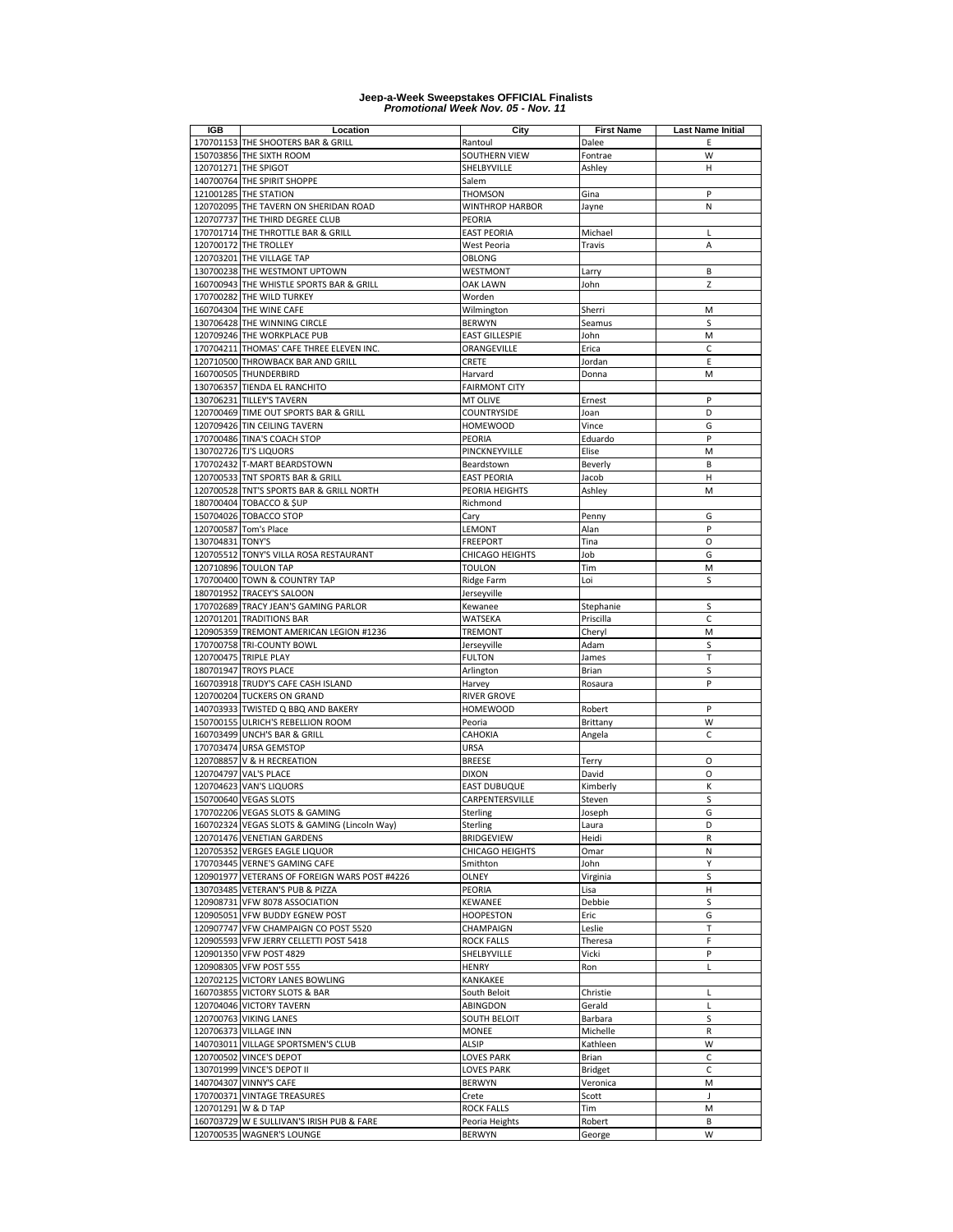| IGB              | Location                                      | City                 | <b>First Name</b> | <b>Last Name Initial</b> |
|------------------|-----------------------------------------------|----------------------|-------------------|--------------------------|
|                  | 170701153 THE SHOOTERS BAR & GRILL            | Rantoul              | Dalee             | E                        |
|                  | 150703856 THE SIXTH ROOM                      | SOUTHERN VIEW        | Fontrae           | W                        |
|                  | 120701271 THE SPIGOT                          | SHELBYVILLE          | Ashley            | н                        |
|                  | 140700764 THE SPIRIT SHOPPE                   | Salem                |                   |                          |
|                  | 121001285 THE STATION                         | <b>THOMSON</b>       | Gina              | P                        |
|                  | 120702095 THE TAVERN ON SHERIDAN ROAD         | WINTHROP HARBOR      | Jayne             | N                        |
|                  | 120707737 THE THIRD DEGREE CLUB               | PEORIA               |                   |                          |
|                  | 170701714 THE THROTTLE BAR & GRILL            | <b>EAST PEORIA</b>   | Michael           | L                        |
|                  | 120700172 THE TROLLEY                         | West Peoria          | Travis            | A                        |
|                  | 120703201 THE VILLAGE TAP                     | OBLONG               |                   |                          |
|                  | 130700238 THE WESTMONT UPTOWN                 | WESTMONT             | Larry             | B                        |
|                  | 160700943 THE WHISTLE SPORTS BAR & GRILL      | OAK LAWN             | John              | Z                        |
|                  | 170700282 THE WILD TURKEY                     | Worden               |                   |                          |
|                  | 160704304 THE WINE CAFE                       | Wilmington           | Sherri            | M                        |
|                  | 130706428 THE WINNING CIRCLE                  | <b>BERWYN</b>        | Seamus            | S                        |
|                  | 120709246 THE WORKPLACE PUB                   | EAST GILLESPIE       | John              | M                        |
|                  | 170704211 THOMAS' CAFE THREE ELEVEN INC.      | ORANGEVILLE          | Erica             | C                        |
|                  | 120710500 THROWBACK BAR AND GRILL             | CRETE                | Jordan            | Ε                        |
|                  | 160700505 THUNDERBIRD                         | Harvard              | Donna             | M                        |
|                  | 130706357 TIENDA EL RANCHITO                  | <b>FAIRMONT CITY</b> |                   |                          |
|                  | 130706231 TILLEY'S TAVERN                     | MT OLIVE             | Ernest            | P                        |
|                  | 120700469 TIME OUT SPORTS BAR & GRILL         | COUNTRYSIDE          | Joan              | D                        |
|                  | 120709426 TIN CEILING TAVERN                  | <b>HOMEWOOD</b>      | Vince             | G                        |
|                  | 170700486 TINA'S COACH STOP                   | PEORIA               | Eduardo           | P                        |
|                  | 130702726 TJ'S LIQUORS                        | PINCKNEYVILLE        | Elise             | M                        |
|                  | 170702432 T-MART BEARDSTOWN                   | Beardstown           | Beverly           | B                        |
|                  | 120700533 TNT SPORTS BAR & GRILL              | <b>EAST PEORIA</b>   | Jacob             | H                        |
|                  | 120700528 TNT'S SPORTS BAR & GRILL NORTH      | PEORIA HEIGHTS       | Ashley            | M                        |
|                  | 180700404 TOBACCO & SUP                       | Richmond             |                   |                          |
|                  | 150704026 TOBACCO STOP                        | Cary                 | Penny             | G                        |
|                  | 120700587 Tom's Place                         | LEMONT               | Alan              | P                        |
| 130704831 TONY'S |                                               | <b>FREEPORT</b>      | Tina              | $\circ$                  |
|                  | 120705512 TONY'S VILLA ROSA RESTAURANT        | CHICAGO HEIGHTS      | Job               | G                        |
|                  | 120710896 TOULON TAP                          | TOULON               | Tim               | M                        |
|                  | 170700400 TOWN & COUNTRY TAP                  | Ridge Farm           | Loi               | S                        |
|                  | 180701952 TRACEY'S SALOON                     | Jerseyville          |                   |                          |
|                  | 170702689 TRACY JEAN'S GAMING PARLOR          | Kewanee              | Stephanie         | S                        |
|                  | 120701201 TRADITIONS BAR                      | WATSEKA              | Priscilla         | C                        |
|                  | 120905359 TREMONT AMERICAN LEGION #1236       | <b>TREMONT</b>       | Cheryl            | M                        |
|                  | 170700758 TRI-COUNTY BOWL                     | Jerseyville          | Adam              | S                        |
|                  | 120700475 TRIPLE PLAY                         | <b>FULTON</b>        | James             | T                        |
|                  | 180701947 TROYS PLACE                         | Arlington            | Brian             | S                        |
|                  | 160703918 TRUDY'S CAFE CASH ISLAND            | Harvey               | Rosaura           | P                        |
|                  | 120700204 TUCKERS ON GRAND                    | <b>RIVER GROVE</b>   |                   |                          |
|                  | 140703933 TWISTED Q BBQ AND BAKERY            | <b>HOMEWOOD</b>      | Robert            | P                        |
|                  | 150700155 ULRICH'S REBELLION ROOM             | Peoria               | Brittany          | W                        |
|                  | 160703499 UNCH'S BAR & GRILL                  | CAHOKIA              | Angela            | C                        |
|                  | 170703474 URSA GEMSTOP                        | URSA                 |                   |                          |
|                  | 120708857 V & H RECREATION                    | <b>BREESE</b>        | Terry             | O                        |
|                  | 120704797 VAL'S PLACE                         | <b>DIXON</b>         | David             | O                        |
|                  | 120704623 VAN'S LIQUORS                       | <b>EAST DUBUQUE</b>  | Kimberly          | К                        |
|                  | 150700640 VEGAS SLOTS                         | CARPENTERSVILLE      | Steven            | S                        |
|                  | 170702206 VEGAS SLOTS & GAMING                | Sterling             | Joseph            | G                        |
|                  | 160702324 VEGAS SLOTS & GAMING (Lincoln Way)  | Sterling             | Laura             | D                        |
|                  | 120701476 VENETIAN GARDENS                    | <b>BRIDGEVIEW</b>    | Heidi             | R                        |
|                  | 120705352 VERGES EAGLE LIQUOR                 | CHICAGO HEIGHTS      | Omar              | N                        |
|                  | 170703445 VERNE'S GAMING CAFE                 | Smithton             | John              | Υ                        |
|                  | 120901977 VETERANS OF FOREIGN WARS POST #4226 | OLNEY                | Virginia          | S                        |
|                  | 130703485 VETERAN'S PUB & PIZZA               | PEORIA               | Lisa              | н                        |
|                  | 120908731 VFW 8078 ASSOCIATION                | KEWANEE              | Debbie            | S                        |
|                  | 120905051 VFW BUDDY EGNEW POST                | HOOPESTON            | Eric              | G                        |
|                  | 120907747 VFW CHAMPAIGN CO POST 5520          | CHAMPAIGN            | Leslie            | Т                        |
|                  | 120905593 VFW JERRY CELLETTI POST 5418        | <b>ROCK FALLS</b>    | Theresa           | F                        |
|                  | 120901350 VFW POST 4829                       | SHELBYVILLE          | Vicki             | P                        |
|                  | 120908305 VFW POST 555                        | <b>HENRY</b>         | Ron               | L                        |
|                  | 120702125 VICTORY LANES BOWLING               | KANKAKEE             |                   |                          |
|                  | 160703855 VICTORY SLOTS & BAR                 | South Beloit         | Christie          | Г                        |
|                  | 120704046 VICTORY TAVERN                      | ABINGDON             | Gerald            | Г                        |
|                  | 120700763 VIKING LANES                        | SOUTH BELOIT         | Barbara           | S                        |
|                  | 120706373 VILLAGE INN                         | <b>MONEE</b>         | Michelle          | R                        |
|                  | 140703011 VILLAGE SPORTSMEN'S CLUB            | ALSIP                | Kathleen          | W                        |
|                  | 120700502 VINCE'S DEPOT                       | LOVES PARK           | Brian             | С<br>C                   |
|                  | 130701999 VINCE'S DEPOT II                    | <b>LOVES PARK</b>    | <b>Bridget</b>    |                          |
|                  | 140704307 VINNY'S CAFE                        | <b>BERWYN</b>        | Veronica          | М                        |
|                  | 170700371 VINTAGE TREASURES                   | Crete                | Scott             | $\overline{\phantom{a}}$ |
|                  | 120701291 W & D TAP                           | <b>ROCK FALLS</b>    | Tim               | M                        |
|                  | 160703729 W E SULLIVAN'S IRISH PUB & FARE     | Peoria Heights       | Robert            | B                        |
|                  | 120700535 WAGNER'S LOUNGE                     | <b>BERWYN</b>        | George            | W                        |